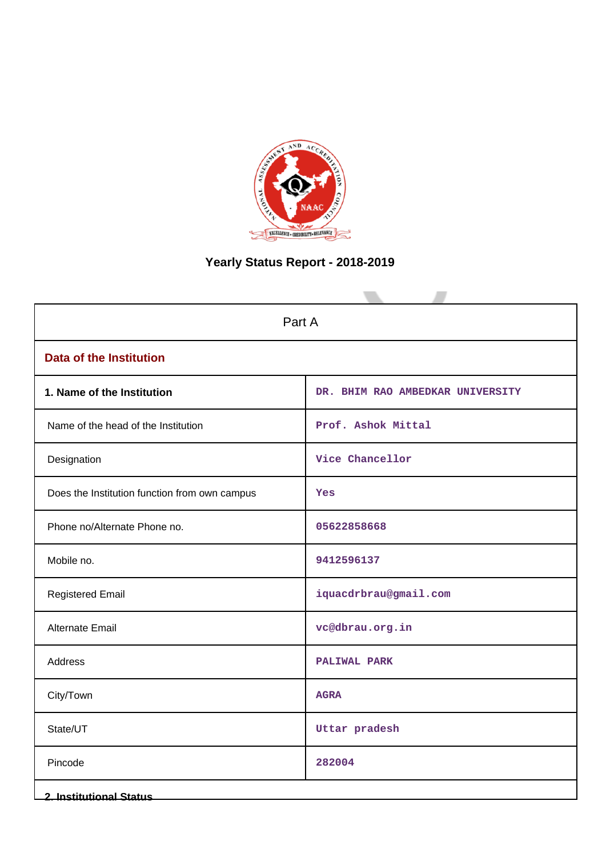

# **Yearly Status Report - 2018-2019**

| Part A                                        |                                  |  |  |  |  |  |  |
|-----------------------------------------------|----------------------------------|--|--|--|--|--|--|
| <b>Data of the Institution</b>                |                                  |  |  |  |  |  |  |
| 1. Name of the Institution                    | DR. BHIM RAO AMBEDKAR UNIVERSITY |  |  |  |  |  |  |
| Name of the head of the Institution           | Prof. Ashok Mittal               |  |  |  |  |  |  |
| Designation                                   | Vice Chancellor                  |  |  |  |  |  |  |
| Does the Institution function from own campus | Yes                              |  |  |  |  |  |  |
| Phone no/Alternate Phone no.                  | 05622858668                      |  |  |  |  |  |  |
| Mobile no.                                    | 9412596137                       |  |  |  |  |  |  |
| <b>Registered Email</b>                       | iquacdrbrau@gmail.com            |  |  |  |  |  |  |
| Alternate Email                               | vc@dbrau.org.in                  |  |  |  |  |  |  |
| Address                                       | <b>PALIWAL PARK</b>              |  |  |  |  |  |  |
| City/Town                                     | <b>AGRA</b>                      |  |  |  |  |  |  |
| State/UT                                      | Uttar pradesh                    |  |  |  |  |  |  |
| Pincode                                       | 282004                           |  |  |  |  |  |  |
| <b>2. Institutional Status</b>                |                                  |  |  |  |  |  |  |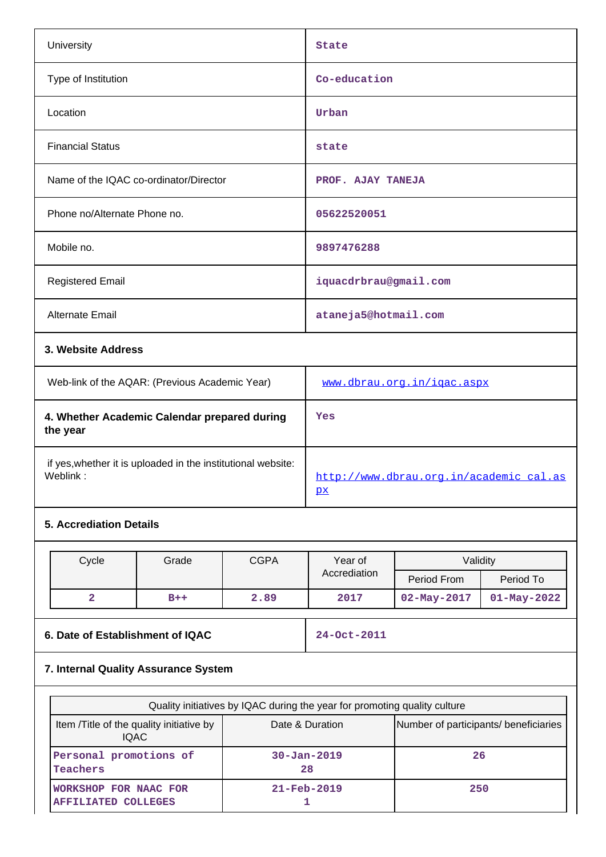| University                                               |                                                              |             | State                                         |                   |                   |  |  |
|----------------------------------------------------------|--------------------------------------------------------------|-------------|-----------------------------------------------|-------------------|-------------------|--|--|
| Type of Institution                                      |                                                              |             | Co-education                                  |                   |                   |  |  |
| Location                                                 |                                                              |             | Urban                                         |                   |                   |  |  |
| <b>Financial Status</b>                                  |                                                              |             | state                                         |                   |                   |  |  |
|                                                          | Name of the IQAC co-ordinator/Director                       |             | PROF. AJAY TANEJA                             |                   |                   |  |  |
| Phone no/Alternate Phone no.                             |                                                              |             | 05622520051                                   |                   |                   |  |  |
| Mobile no.                                               |                                                              |             | 9897476288                                    |                   |                   |  |  |
| <b>Registered Email</b>                                  |                                                              |             | iquacdrbrau@gmail.com                         |                   |                   |  |  |
| <b>Alternate Email</b>                                   |                                                              |             | ataneja5@hotmail.com                          |                   |                   |  |  |
| 3. Website Address                                       |                                                              |             |                                               |                   |                   |  |  |
| Web-link of the AQAR: (Previous Academic Year)           |                                                              |             | www.dbrau.org.in/igac.aspx                    |                   |                   |  |  |
| 4. Whether Academic Calendar prepared during<br>the year |                                                              |             | Yes                                           |                   |                   |  |  |
| Weblink:                                                 | if yes, whether it is uploaded in the institutional website: |             | http://www.dbrau.org.in/academic cal.as<br>px |                   |                   |  |  |
| <b>5. Accrediation Details</b>                           |                                                              |             |                                               |                   |                   |  |  |
| Cycle                                                    | Grade                                                        | <b>CGPA</b> | Year of                                       | Validity          |                   |  |  |
|                                                          |                                                              |             | Accrediation                                  | Period From       | Period To         |  |  |
| $\overline{\mathbf{2}}$                                  | $B++$                                                        | 2.89        | 2017                                          | $02 - May - 2017$ | $01 - May - 2022$ |  |  |
| 6. Date of Establishment of IQAC                         |                                                              |             | 24-Oct-2011                                   |                   |                   |  |  |

# **7. Internal Quality Assurance System**

| Quality initiatives by IQAC during the year for promoting quality culture |                                       |     |  |  |  |  |  |  |  |  |
|---------------------------------------------------------------------------|---------------------------------------|-----|--|--|--|--|--|--|--|--|
| Item / Title of the quality initiative by<br><b>IQAC</b>                  | Number of participants/ beneficiaries |     |  |  |  |  |  |  |  |  |
| Personal promotions of<br>Teachers                                        | $30 - Jan - 2019$<br>28               | 26  |  |  |  |  |  |  |  |  |
| <b>WORKSHOP FOR NAAC FOR</b><br><b>AFFILIATED COLLEGES</b>                | $21 - \text{Feb} - 2019$              | 250 |  |  |  |  |  |  |  |  |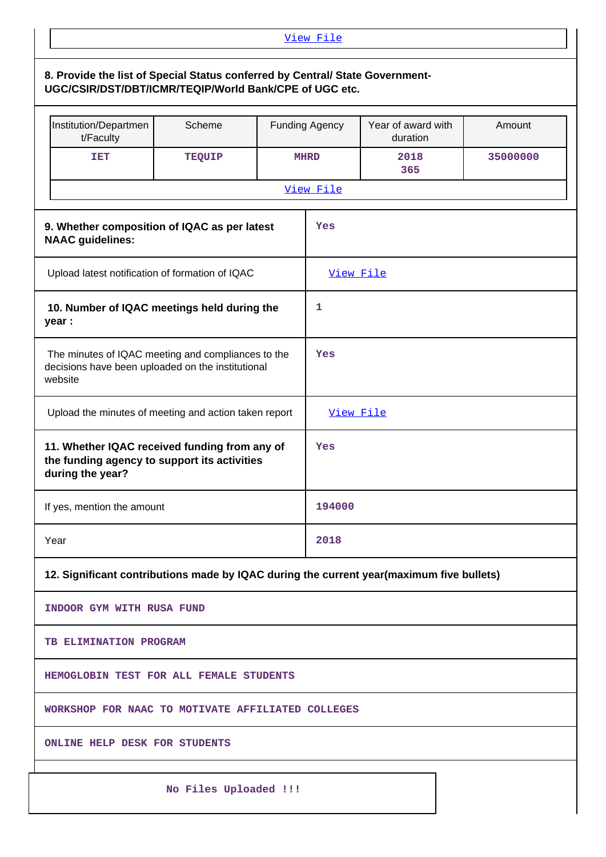| View File                                                                                                                               |                       |  |             |             |          |  |  |  |  |
|-----------------------------------------------------------------------------------------------------------------------------------------|-----------------------|--|-------------|-------------|----------|--|--|--|--|
| 8. Provide the list of Special Status conferred by Central/ State Government-<br>UGC/CSIR/DST/DBT/ICMR/TEQIP/World Bank/CPE of UGC etc. |                       |  |             |             |          |  |  |  |  |
| Year of award with<br>Institution/Departmen<br>Scheme<br><b>Funding Agency</b><br>Amount<br>t/Faculty<br>duration                       |                       |  |             |             |          |  |  |  |  |
| <b>TET</b>                                                                                                                              | TEQUIP                |  | <b>MHRD</b> | 2018<br>365 | 35000000 |  |  |  |  |
| View File                                                                                                                               |                       |  |             |             |          |  |  |  |  |
| 9. Whether composition of IQAC as per latest<br><b>NAAC</b> guidelines:                                                                 |                       |  | Yes         |             |          |  |  |  |  |
| Upload latest notification of formation of IQAC                                                                                         |                       |  |             | View File   |          |  |  |  |  |
| 10. Number of IQAC meetings held during the<br>year :                                                                                   |                       |  | 1           |             |          |  |  |  |  |
| The minutes of IQAC meeting and compliances to the<br>decisions have been uploaded on the institutional<br>website                      |                       |  | Yes         |             |          |  |  |  |  |
| Upload the minutes of meeting and action taken report                                                                                   |                       |  |             | View File   |          |  |  |  |  |
| 11. Whether IQAC received funding from any of<br>the funding agency to support its activities<br>during the year?                       |                       |  | Yes         |             |          |  |  |  |  |
| If yes, mention the amount                                                                                                              |                       |  | 194000      |             |          |  |  |  |  |
| Year                                                                                                                                    |                       |  | 2018        |             |          |  |  |  |  |
| 12. Significant contributions made by IQAC during the current year(maximum five bullets)                                                |                       |  |             |             |          |  |  |  |  |
| INDOOR GYM WITH RUSA FUND                                                                                                               |                       |  |             |             |          |  |  |  |  |
| <b>TB ELIMINATION PROGRAM</b>                                                                                                           |                       |  |             |             |          |  |  |  |  |
| HEMOGLOBIN TEST FOR ALL FEMALE STUDENTS                                                                                                 |                       |  |             |             |          |  |  |  |  |
| WORKSHOP FOR NAAC TO MOTIVATE AFFILIATED COLLEGES                                                                                       |                       |  |             |             |          |  |  |  |  |
| <b>ONLINE HELP DESK FOR STUDENTS</b>                                                                                                    |                       |  |             |             |          |  |  |  |  |
|                                                                                                                                         | No Files Uploaded !!! |  |             |             |          |  |  |  |  |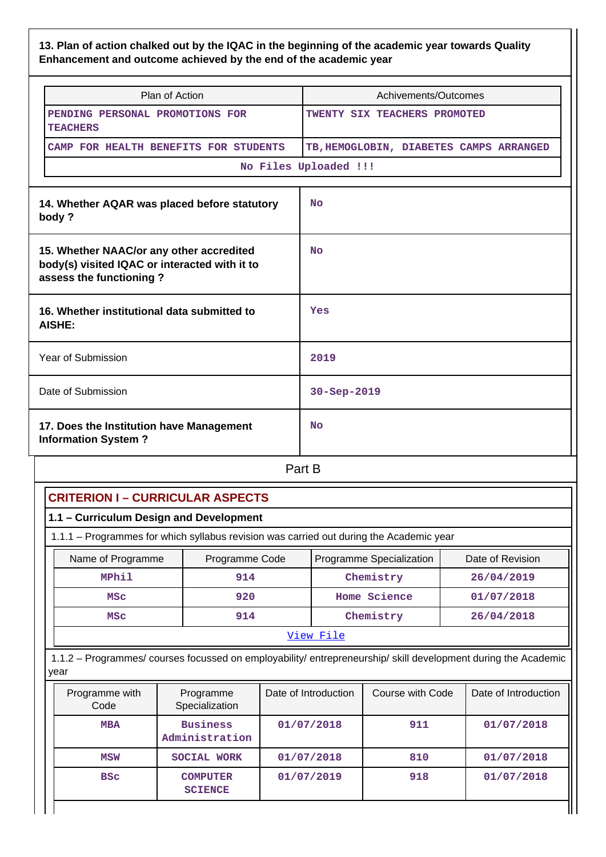### **13. Plan of action chalked out by the IQAC in the beginning of the academic year towards Quality Enhancement and outcome achieved by the end of the academic year**

| Plan of Action                                                                                                       | Achivements/Outcomes                    |
|----------------------------------------------------------------------------------------------------------------------|-----------------------------------------|
| PENDING PERSONAL PROMOTIONS FOR<br><b>TEACHERS</b>                                                                   | TWENTY SIX TEACHERS PROMOTED            |
| CAMP FOR HEALTH BENEFITS FOR STUDENTS                                                                                | TB, HEMOGLOBIN, DIABETES CAMPS ARRANGED |
|                                                                                                                      | No Files Uploaded !!!                   |
| 14. Whether AQAR was placed before statutory<br>body?                                                                | <b>No</b>                               |
| 15. Whether NAAC/or any other accredited<br>body(s) visited IQAC or interacted with it to<br>assess the functioning? | <b>No</b>                               |
| 16. Whether institutional data submitted to<br>AISHE:                                                                | Yes                                     |
| Year of Submission                                                                                                   | 2019                                    |
| Date of Submission                                                                                                   | 30-Sep-2019                             |
| 17. Does the Institution have Management<br><b>Information System?</b>                                               | <b>No</b>                               |

**Part B** 

| 1.1 - Curriculum Design and Development                                                         |                                   |            |           |              |                                                                                                                |  |  |  |  |  |
|-------------------------------------------------------------------------------------------------|-----------------------------------|------------|-----------|--------------|----------------------------------------------------------------------------------------------------------------|--|--|--|--|--|
| 1.1.1 - Programmes for which syllabus revision was carried out during the Academic year         |                                   |            |           |              |                                                                                                                |  |  |  |  |  |
| Name of Programme<br>Date of Revision<br>Programme Specialization<br>Programme Code             |                                   |            |           |              |                                                                                                                |  |  |  |  |  |
| <b>MPhil</b>                                                                                    | 914                               |            |           | Chemistry    | 26/04/2019                                                                                                     |  |  |  |  |  |
| <b>MSC</b>                                                                                      | 920                               |            |           | Home Science | 01/07/2018                                                                                                     |  |  |  |  |  |
| <b>MSC</b>                                                                                      | 914                               |            |           | Chemistry    | 26/04/2018                                                                                                     |  |  |  |  |  |
|                                                                                                 |                                   |            | View File |              |                                                                                                                |  |  |  |  |  |
| vear                                                                                            |                                   |            |           |              | 1.1.2 - Programmes/ courses focussed on employability/ entrepreneurship/ skill development during the Academic |  |  |  |  |  |
| Date of Introduction<br>Course with Code<br>Date of Introduction<br>Programme with<br>Programme |                                   |            |           |              |                                                                                                                |  |  |  |  |  |
| Code                                                                                            | Specialization                    |            |           |              |                                                                                                                |  |  |  |  |  |
| <b>MBA</b>                                                                                      | <b>Business</b><br>Administration | 01/07/2018 |           | 911          | 01/07/2018                                                                                                     |  |  |  |  |  |
| <b>MSW</b>                                                                                      | <b>SOCIAL WORK</b>                | 01/07/2018 |           | 810          | 01/07/2018                                                                                                     |  |  |  |  |  |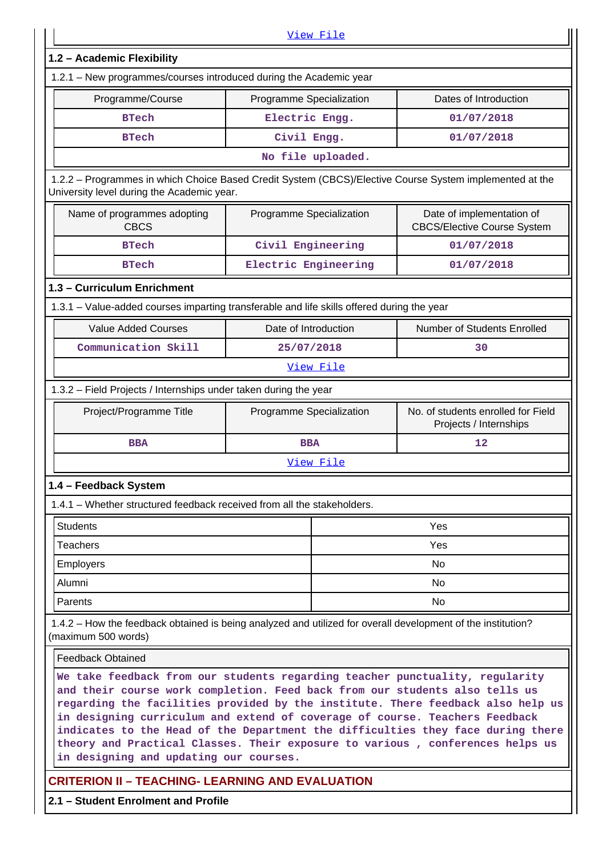|                                                                                                                                                                                                                                                                                                                                                                                                                                                                                                                                                                         |                          | View File         |                                                              |  |  |  |  |  |  |  |
|-------------------------------------------------------------------------------------------------------------------------------------------------------------------------------------------------------------------------------------------------------------------------------------------------------------------------------------------------------------------------------------------------------------------------------------------------------------------------------------------------------------------------------------------------------------------------|--------------------------|-------------------|--------------------------------------------------------------|--|--|--|--|--|--|--|
| 1.2 - Academic Flexibility                                                                                                                                                                                                                                                                                                                                                                                                                                                                                                                                              |                          |                   |                                                              |  |  |  |  |  |  |  |
| 1.2.1 - New programmes/courses introduced during the Academic year                                                                                                                                                                                                                                                                                                                                                                                                                                                                                                      |                          |                   |                                                              |  |  |  |  |  |  |  |
| Programme/Course                                                                                                                                                                                                                                                                                                                                                                                                                                                                                                                                                        | Programme Specialization |                   | Dates of Introduction                                        |  |  |  |  |  |  |  |
| Electric Engg.<br><b>BTech</b><br>01/07/2018                                                                                                                                                                                                                                                                                                                                                                                                                                                                                                                            |                          |                   |                                                              |  |  |  |  |  |  |  |
| Civil Engg.<br>01/07/2018<br><b>BTech</b>                                                                                                                                                                                                                                                                                                                                                                                                                                                                                                                               |                          |                   |                                                              |  |  |  |  |  |  |  |
|                                                                                                                                                                                                                                                                                                                                                                                                                                                                                                                                                                         |                          | No file uploaded. |                                                              |  |  |  |  |  |  |  |
| 1.2.2 - Programmes in which Choice Based Credit System (CBCS)/Elective Course System implemented at the<br>University level during the Academic year.                                                                                                                                                                                                                                                                                                                                                                                                                   |                          |                   |                                                              |  |  |  |  |  |  |  |
| Name of programmes adopting<br>Programme Specialization<br>Date of implementation of<br><b>CBCS</b><br><b>CBCS/Elective Course System</b>                                                                                                                                                                                                                                                                                                                                                                                                                               |                          |                   |                                                              |  |  |  |  |  |  |  |
| <b>BTech</b>                                                                                                                                                                                                                                                                                                                                                                                                                                                                                                                                                            | Civil Engineering        |                   | 01/07/2018                                                   |  |  |  |  |  |  |  |
| <b>BTech</b>                                                                                                                                                                                                                                                                                                                                                                                                                                                                                                                                                            | Electric Engineering     |                   | 01/07/2018                                                   |  |  |  |  |  |  |  |
| 1.3 - Curriculum Enrichment                                                                                                                                                                                                                                                                                                                                                                                                                                                                                                                                             |                          |                   |                                                              |  |  |  |  |  |  |  |
| 1.3.1 - Value-added courses imparting transferable and life skills offered during the year                                                                                                                                                                                                                                                                                                                                                                                                                                                                              |                          |                   |                                                              |  |  |  |  |  |  |  |
| <b>Value Added Courses</b>                                                                                                                                                                                                                                                                                                                                                                                                                                                                                                                                              | Date of Introduction     |                   | Number of Students Enrolled                                  |  |  |  |  |  |  |  |
| Communication Skill                                                                                                                                                                                                                                                                                                                                                                                                                                                                                                                                                     | 25/07/2018               |                   | 30                                                           |  |  |  |  |  |  |  |
|                                                                                                                                                                                                                                                                                                                                                                                                                                                                                                                                                                         |                          | <u>View File</u>  |                                                              |  |  |  |  |  |  |  |
|                                                                                                                                                                                                                                                                                                                                                                                                                                                                                                                                                                         |                          |                   |                                                              |  |  |  |  |  |  |  |
| 1.3.2 - Field Projects / Internships under taken during the year                                                                                                                                                                                                                                                                                                                                                                                                                                                                                                        |                          |                   |                                                              |  |  |  |  |  |  |  |
| Project/Programme Title                                                                                                                                                                                                                                                                                                                                                                                                                                                                                                                                                 | Programme Specialization |                   | No. of students enrolled for Field<br>Projects / Internships |  |  |  |  |  |  |  |
| <b>BBA</b>                                                                                                                                                                                                                                                                                                                                                                                                                                                                                                                                                              | <b>BBA</b>               |                   | 12                                                           |  |  |  |  |  |  |  |
|                                                                                                                                                                                                                                                                                                                                                                                                                                                                                                                                                                         |                          | View File         |                                                              |  |  |  |  |  |  |  |
| 1.4 - Feedback System                                                                                                                                                                                                                                                                                                                                                                                                                                                                                                                                                   |                          |                   |                                                              |  |  |  |  |  |  |  |
| 1.4.1 – Whether structured feedback received from all the stakeholders.                                                                                                                                                                                                                                                                                                                                                                                                                                                                                                 |                          |                   |                                                              |  |  |  |  |  |  |  |
| <b>Students</b>                                                                                                                                                                                                                                                                                                                                                                                                                                                                                                                                                         |                          |                   | Yes                                                          |  |  |  |  |  |  |  |
| <b>Teachers</b>                                                                                                                                                                                                                                                                                                                                                                                                                                                                                                                                                         |                          |                   | Yes                                                          |  |  |  |  |  |  |  |
| <b>Employers</b>                                                                                                                                                                                                                                                                                                                                                                                                                                                                                                                                                        |                          |                   | <b>No</b>                                                    |  |  |  |  |  |  |  |
| Alumni                                                                                                                                                                                                                                                                                                                                                                                                                                                                                                                                                                  |                          |                   | <b>No</b>                                                    |  |  |  |  |  |  |  |
| Parents                                                                                                                                                                                                                                                                                                                                                                                                                                                                                                                                                                 |                          |                   | No                                                           |  |  |  |  |  |  |  |
| 1.4.2 – How the feedback obtained is being analyzed and utilized for overall development of the institution?<br>(maximum 500 words)                                                                                                                                                                                                                                                                                                                                                                                                                                     |                          |                   |                                                              |  |  |  |  |  |  |  |
|                                                                                                                                                                                                                                                                                                                                                                                                                                                                                                                                                                         |                          |                   |                                                              |  |  |  |  |  |  |  |
| <b>Feedback Obtained</b><br>We take feedback from our students regarding teacher punctuality, regularity<br>and their course work completion. Feed back from our students also tells us<br>regarding the facilities provided by the institute. There feedback also help us<br>in designing curriculum and extend of coverage of course. Teachers Feedback<br>indicates to the Head of the Department the difficulties they face during there<br>theory and Practical Classes. Their exposure to various, conferences helps us<br>in designing and updating our courses. |                          |                   |                                                              |  |  |  |  |  |  |  |
| <b>CRITERION II - TEACHING- LEARNING AND EVALUATION</b><br>2.1 - Student Enrolment and Profile                                                                                                                                                                                                                                                                                                                                                                                                                                                                          |                          |                   |                                                              |  |  |  |  |  |  |  |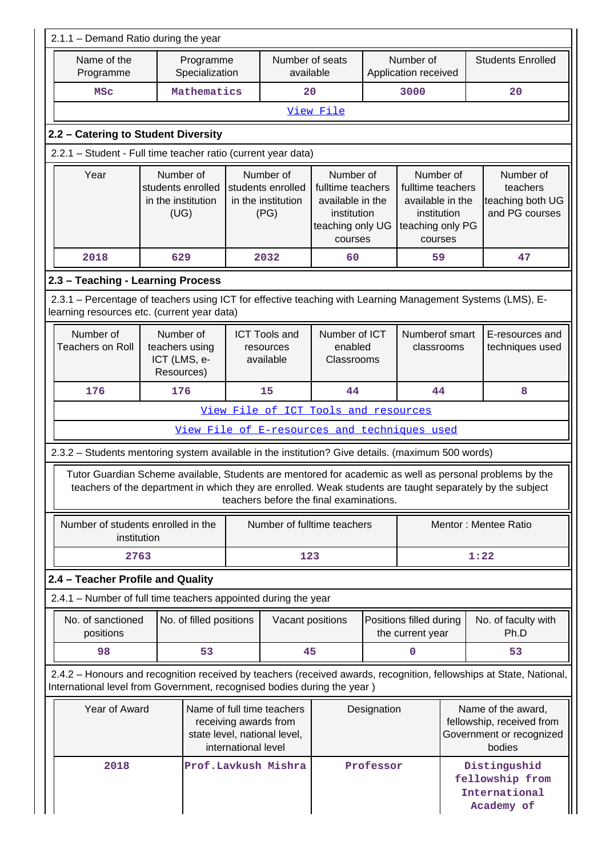| 2.1.1 - Demand Ratio during the year                                                                                                                      |                                                                                                                                                                                                                                  |  |                                                                                                  |                                        |                                                             |                                             |  |                                                                                                                     |  |  |  |
|-----------------------------------------------------------------------------------------------------------------------------------------------------------|----------------------------------------------------------------------------------------------------------------------------------------------------------------------------------------------------------------------------------|--|--------------------------------------------------------------------------------------------------|----------------------------------------|-------------------------------------------------------------|---------------------------------------------|--|---------------------------------------------------------------------------------------------------------------------|--|--|--|
| Name of the<br>Programme                                                                                                                                  | Programme<br>Specialization                                                                                                                                                                                                      |  | Number of seats<br>available                                                                     |                                        |                                                             | Number of<br>Application received           |  | <b>Students Enrolled</b>                                                                                            |  |  |  |
| <b>MSC</b>                                                                                                                                                | Mathematics                                                                                                                                                                                                                      |  | 20                                                                                               |                                        |                                                             | 3000                                        |  | 20                                                                                                                  |  |  |  |
|                                                                                                                                                           |                                                                                                                                                                                                                                  |  |                                                                                                  | View File                              |                                                             |                                             |  |                                                                                                                     |  |  |  |
| 2.2 - Catering to Student Diversity                                                                                                                       |                                                                                                                                                                                                                                  |  |                                                                                                  |                                        |                                                             |                                             |  |                                                                                                                     |  |  |  |
| 2.2.1 - Student - Full time teacher ratio (current year data)                                                                                             |                                                                                                                                                                                                                                  |  |                                                                                                  |                                        |                                                             |                                             |  |                                                                                                                     |  |  |  |
| Year                                                                                                                                                      | Number of<br>Number of<br>Number of<br>students enrolled<br>students enrolled<br>fulltime teachers<br>in the institution<br>in the institution<br>available in the<br>(UG)<br>(PG)<br>institution<br>teaching only UG<br>courses |  | Number of<br>fulltime teachers<br>available in the<br>institution<br>teaching only PG<br>courses |                                        | Number of<br>teachers<br>teaching both UG<br>and PG courses |                                             |  |                                                                                                                     |  |  |  |
| 2018                                                                                                                                                      | 629                                                                                                                                                                                                                              |  | 2032                                                                                             | 60                                     |                                                             | 59                                          |  | 47                                                                                                                  |  |  |  |
| 2.3 - Teaching - Learning Process                                                                                                                         |                                                                                                                                                                                                                                  |  |                                                                                                  |                                        |                                                             |                                             |  |                                                                                                                     |  |  |  |
| 2.3.1 – Percentage of teachers using ICT for effective teaching with Learning Management Systems (LMS), E-<br>learning resources etc. (current year data) |                                                                                                                                                                                                                                  |  |                                                                                                  |                                        |                                                             |                                             |  |                                                                                                                     |  |  |  |
| Number of<br><b>Teachers on Roll</b>                                                                                                                      | Number of<br>teachers using<br>ICT (LMS, e-<br>Resources)                                                                                                                                                                        |  | <b>ICT Tools and</b><br>resources<br>available                                                   | Number of ICT<br>enabled<br>Classrooms |                                                             | Numberof smart<br>classrooms                |  | E-resources and<br>techniques used                                                                                  |  |  |  |
| 176                                                                                                                                                       | 176                                                                                                                                                                                                                              |  | 15                                                                                               | 44                                     |                                                             | 44                                          |  | 8                                                                                                                   |  |  |  |
|                                                                                                                                                           |                                                                                                                                                                                                                                  |  | View File of ICT Tools and resources                                                             |                                        |                                                             |                                             |  |                                                                                                                     |  |  |  |
|                                                                                                                                                           |                                                                                                                                                                                                                                  |  | View File of E-resources and techniques used                                                     |                                        |                                                             |                                             |  |                                                                                                                     |  |  |  |
| 2.3.2 - Students mentoring system available in the institution? Give details. (maximum 500 words)                                                         |                                                                                                                                                                                                                                  |  |                                                                                                  |                                        |                                                             |                                             |  |                                                                                                                     |  |  |  |
|                                                                                                                                                           | Tutor Guardian Scheme available, Students are mentored for academic as well as personal problems by the<br>teachers of the department in which they are enrolled. Weak students are taught separately by the subject             |  | teachers before the final examinations.                                                          |                                        |                                                             |                                             |  |                                                                                                                     |  |  |  |
| Number of students enrolled in the<br>institution                                                                                                         |                                                                                                                                                                                                                                  |  | Number of fulltime teachers                                                                      |                                        |                                                             |                                             |  | Mentor: Mentee Ratio                                                                                                |  |  |  |
| 2763                                                                                                                                                      |                                                                                                                                                                                                                                  |  | 123                                                                                              |                                        |                                                             |                                             |  | 1:22                                                                                                                |  |  |  |
| 2.4 - Teacher Profile and Quality                                                                                                                         |                                                                                                                                                                                                                                  |  |                                                                                                  |                                        |                                                             |                                             |  |                                                                                                                     |  |  |  |
| 2.4.1 - Number of full time teachers appointed during the year                                                                                            |                                                                                                                                                                                                                                  |  |                                                                                                  |                                        |                                                             |                                             |  |                                                                                                                     |  |  |  |
| No. of sanctioned<br>positions                                                                                                                            | No. of filled positions                                                                                                                                                                                                          |  | Vacant positions                                                                                 |                                        |                                                             | Positions filled during<br>the current year |  | No. of faculty with<br>Ph.D                                                                                         |  |  |  |
| 98                                                                                                                                                        | 53                                                                                                                                                                                                                               |  | 45                                                                                               |                                        |                                                             | 0                                           |  | 53                                                                                                                  |  |  |  |
| International level from Government, recognised bodies during the year)                                                                                   |                                                                                                                                                                                                                                  |  |                                                                                                  |                                        |                                                             |                                             |  | 2.4.2 - Honours and recognition received by teachers (received awards, recognition, fellowships at State, National, |  |  |  |
| Year of Award                                                                                                                                             |                                                                                                                                                                                                                                  |  | Name of full time teachers<br>receiving awards from<br>state level, national level,              | Designation                            |                                                             |                                             |  | Name of the award,<br>fellowship, received from<br>Government or recognized<br>bodies                               |  |  |  |
| 2018                                                                                                                                                      | international level<br>Prof.Lavkush Mishra                                                                                                                                                                                       |  |                                                                                                  |                                        |                                                             | Professor                                   |  | Distingushid<br>fellowship from<br>International<br>Academy of                                                      |  |  |  |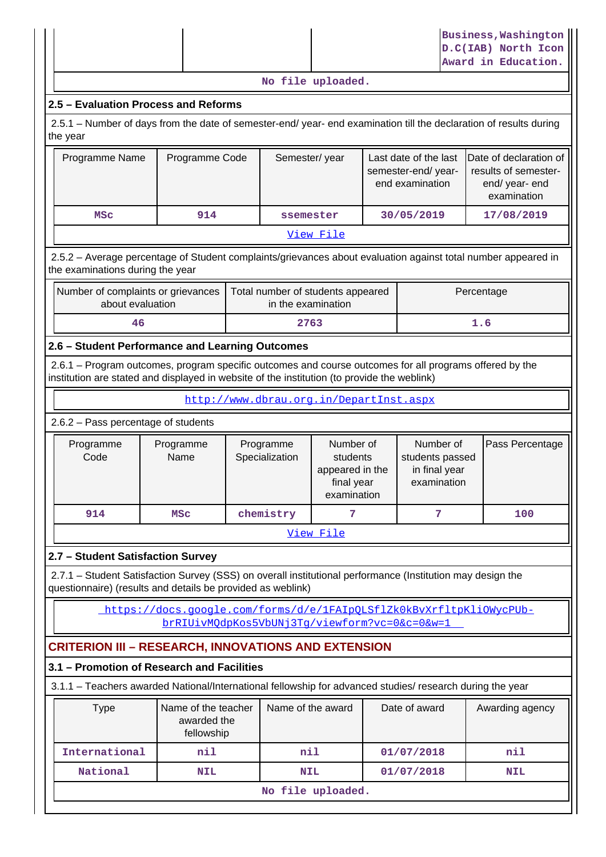|                                                                                                                                                                                                        |                                                                                                                                                                                      |  |                                                         |                                                                       |  |                                                              |            | <b>Business, Washington</b><br>D.C(IAB) North Icon<br>Award in Education. |  |  |
|--------------------------------------------------------------------------------------------------------------------------------------------------------------------------------------------------------|--------------------------------------------------------------------------------------------------------------------------------------------------------------------------------------|--|---------------------------------------------------------|-----------------------------------------------------------------------|--|--------------------------------------------------------------|------------|---------------------------------------------------------------------------|--|--|
|                                                                                                                                                                                                        |                                                                                                                                                                                      |  | No file uploaded.                                       |                                                                       |  |                                                              |            |                                                                           |  |  |
| 2.5 - Evaluation Process and Reforms                                                                                                                                                                   |                                                                                                                                                                                      |  |                                                         |                                                                       |  |                                                              |            |                                                                           |  |  |
| 2.5.1 - Number of days from the date of semester-end/ year- end examination till the declaration of results during<br>the year                                                                         |                                                                                                                                                                                      |  |                                                         |                                                                       |  |                                                              |            |                                                                           |  |  |
| Programme Name                                                                                                                                                                                         | Semester/year<br>Date of declaration of<br>Programme Code<br>Last date of the last<br>results of semester-<br>semester-end/year-<br>end examination<br>end/ year- end<br>examination |  |                                                         |                                                                       |  |                                                              |            |                                                                           |  |  |
| <b>MSC</b>                                                                                                                                                                                             | 914                                                                                                                                                                                  |  | ssemester                                               |                                                                       |  | 30/05/2019                                                   |            | 17/08/2019                                                                |  |  |
|                                                                                                                                                                                                        |                                                                                                                                                                                      |  |                                                         | View File                                                             |  |                                                              |            |                                                                           |  |  |
| 2.5.2 - Average percentage of Student complaints/grievances about evaluation against total number appeared in<br>the examinations during the year                                                      |                                                                                                                                                                                      |  |                                                         |                                                                       |  |                                                              |            |                                                                           |  |  |
| Number of complaints or grievances<br>about evaluation                                                                                                                                                 |                                                                                                                                                                                      |  | Total number of students appeared<br>in the examination |                                                                       |  |                                                              | Percentage |                                                                           |  |  |
| 46                                                                                                                                                                                                     |                                                                                                                                                                                      |  | 2763                                                    |                                                                       |  |                                                              | 1.6        |                                                                           |  |  |
| 2.6 - Student Performance and Learning Outcomes                                                                                                                                                        |                                                                                                                                                                                      |  |                                                         |                                                                       |  |                                                              |            |                                                                           |  |  |
| 2.6.1 – Program outcomes, program specific outcomes and course outcomes for all programs offered by the<br>institution are stated and displayed in website of the institution (to provide the weblink) |                                                                                                                                                                                      |  |                                                         |                                                                       |  |                                                              |            |                                                                           |  |  |
|                                                                                                                                                                                                        |                                                                                                                                                                                      |  | http://www.dbrau.org.in/DepartInst.aspx                 |                                                                       |  |                                                              |            |                                                                           |  |  |
| 2.6.2 - Pass percentage of students                                                                                                                                                                    |                                                                                                                                                                                      |  |                                                         |                                                                       |  |                                                              |            |                                                                           |  |  |
| Programme<br>Code                                                                                                                                                                                      | Programme<br>Name                                                                                                                                                                    |  | Programme<br>Specialization                             | Number of<br>students<br>appeared in the<br>final year<br>examination |  | Number of<br>students passed<br>in final year<br>examination |            | Pass Percentage                                                           |  |  |
| 914                                                                                                                                                                                                    | <b>MSC</b>                                                                                                                                                                           |  | chemistry                                               | 7                                                                     |  | 7                                                            |            | 100                                                                       |  |  |
|                                                                                                                                                                                                        |                                                                                                                                                                                      |  |                                                         | View File                                                             |  |                                                              |            |                                                                           |  |  |
| 2.7 - Student Satisfaction Survey                                                                                                                                                                      |                                                                                                                                                                                      |  |                                                         |                                                                       |  |                                                              |            |                                                                           |  |  |
| 2.7.1 - Student Satisfaction Survey (SSS) on overall institutional performance (Institution may design the<br>questionnaire) (results and details be provided as weblink)                              |                                                                                                                                                                                      |  |                                                         |                                                                       |  |                                                              |            |                                                                           |  |  |
|                                                                                                                                                                                                        | https://docs.google.com/forms/d/e/1FAIpOLSflZk0kBvXrfltpKliOWycPUb-                                                                                                                  |  |                                                         |                                                                       |  |                                                              |            |                                                                           |  |  |
|                                                                                                                                                                                                        | brRIUivMOdpKos5VbUNj3Tq/viewform?vc=0&c=0&w=1                                                                                                                                        |  |                                                         |                                                                       |  |                                                              |            |                                                                           |  |  |
| <b>CRITERION III – RESEARCH, INNOVATIONS AND EXTENSION</b>                                                                                                                                             |                                                                                                                                                                                      |  |                                                         |                                                                       |  |                                                              |            |                                                                           |  |  |
| 3.1 - Promotion of Research and Facilities                                                                                                                                                             |                                                                                                                                                                                      |  |                                                         |                                                                       |  |                                                              |            |                                                                           |  |  |
| 3.1.1 - Teachers awarded National/International fellowship for advanced studies/ research during the year                                                                                              |                                                                                                                                                                                      |  |                                                         |                                                                       |  |                                                              |            |                                                                           |  |  |
| <b>Type</b>                                                                                                                                                                                            | Name of the teacher<br>awarded the<br>fellowship                                                                                                                                     |  | Name of the award                                       |                                                                       |  | Date of award                                                |            | Awarding agency                                                           |  |  |
| International                                                                                                                                                                                          | nil                                                                                                                                                                                  |  | nil                                                     |                                                                       |  | 01/07/2018                                                   |            | nil                                                                       |  |  |
| National                                                                                                                                                                                               | <b>NIL</b>                                                                                                                                                                           |  | <b>NIL</b>                                              |                                                                       |  | 01/07/2018                                                   |            | <b>NIL</b>                                                                |  |  |
|                                                                                                                                                                                                        |                                                                                                                                                                                      |  |                                                         |                                                                       |  |                                                              |            |                                                                           |  |  |
| No file uploaded.                                                                                                                                                                                      |                                                                                                                                                                                      |  |                                                         |                                                                       |  |                                                              |            |                                                                           |  |  |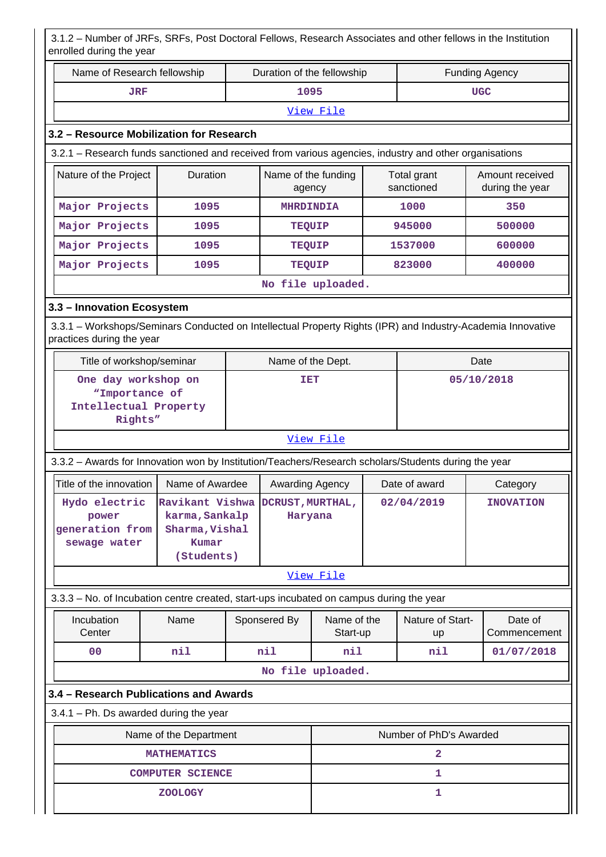3.1.2 – Number of JRFs, SRFs, Post Doctoral Fellows, Research Associates and other fellows in the Institution enrolled during the year

| erirolled during the year                                                                                   |                                                                                             |  |                            |                         |            |                                    |      |                         |  |
|-------------------------------------------------------------------------------------------------------------|---------------------------------------------------------------------------------------------|--|----------------------------|-------------------------|------------|------------------------------------|------|-------------------------|--|
| Name of Research fellowship                                                                                 |                                                                                             |  | Duration of the fellowship |                         |            | <b>Funding Agency</b>              |      |                         |  |
| <b>JRF</b>                                                                                                  |                                                                                             |  | 1095                       |                         |            | <b>UGC</b>                         |      |                         |  |
|                                                                                                             |                                                                                             |  |                            | View File               |            |                                    |      |                         |  |
| 3.2 - Resource Mobilization for Research                                                                    |                                                                                             |  |                            |                         |            |                                    |      |                         |  |
| 3.2.1 - Research funds sanctioned and received from various agencies, industry and other organisations      |                                                                                             |  |                            |                         |            |                                    |      |                         |  |
| Duration<br>Nature of the Project<br>Name of the funding<br>Total grant<br>sanctioned<br>agency             |                                                                                             |  |                            |                         |            | Amount received<br>during the year |      |                         |  |
| Major Projects                                                                                              | 1095                                                                                        |  | <b>MHRDINDIA</b>           |                         |            | 1000                               |      | 350                     |  |
| Major Projects                                                                                              | 1095                                                                                        |  | <b>TEQUIP</b>              |                         |            | 945000                             |      | 500000                  |  |
| Major Projects                                                                                              | 1095                                                                                        |  | <b>TEQUIP</b>              |                         |            | 1537000                            |      | 600000                  |  |
| Major Projects                                                                                              | 1095                                                                                        |  | <b>TEQUIP</b>              |                         |            | 823000                             |      | 400000                  |  |
|                                                                                                             |                                                                                             |  |                            | No file uploaded.       |            |                                    |      |                         |  |
| 3.3 - Innovation Ecosystem                                                                                  |                                                                                             |  |                            |                         |            |                                    |      |                         |  |
| 3.3.1 – Workshops/Seminars Conducted on Intellectual Property Rights (IPR) and Industry-Academia Innovative |                                                                                             |  |                            |                         |            |                                    |      |                         |  |
| practices during the year                                                                                   |                                                                                             |  |                            |                         |            |                                    |      |                         |  |
| Title of workshop/seminar                                                                                   |                                                                                             |  | Name of the Dept.          |                         |            |                                    | Date |                         |  |
| One day workshop on<br>05/10/2018<br>TET<br>"Importance of<br>Intellectual Property<br>Rights"              |                                                                                             |  |                            |                         |            |                                    |      |                         |  |
|                                                                                                             |                                                                                             |  |                            | View File               |            |                                    |      |                         |  |
| 3.3.2 - Awards for Innovation won by Institution/Teachers/Research scholars/Students during the year        |                                                                                             |  |                            |                         |            |                                    |      |                         |  |
| Title of the innovation                                                                                     | Name of Awardee                                                                             |  | Awarding Agency            |                         |            | Date of award                      |      | Category                |  |
| Hydo electric<br>power<br>generation from<br>sewage water                                                   | Ravikant Vishwa DCRUST, MURTHAL,<br>karma, Sankalp<br>Sharma, Vishal<br>Kumar<br>(Students) |  | Haryana                    |                         | 02/04/2019 |                                    |      | <b>INOVATION</b>        |  |
|                                                                                                             |                                                                                             |  |                            | View File               |            |                                    |      |                         |  |
| 3.3.3 - No. of Incubation centre created, start-ups incubated on campus during the year                     |                                                                                             |  |                            |                         |            |                                    |      |                         |  |
| Incubation<br>Center                                                                                        | Name                                                                                        |  | Sponsered By               | Name of the<br>Start-up |            | Nature of Start-<br>up             |      | Date of<br>Commencement |  |
| 0 <sup>0</sup>                                                                                              | nil                                                                                         |  | nil                        | nil                     |            | nil                                |      | 01/07/2018              |  |
|                                                                                                             |                                                                                             |  |                            | No file uploaded.       |            |                                    |      |                         |  |
| 3.4 - Research Publications and Awards                                                                      |                                                                                             |  |                            |                         |            |                                    |      |                         |  |
| $3.4.1$ – Ph. Ds awarded during the year                                                                    |                                                                                             |  |                            |                         |            |                                    |      |                         |  |
|                                                                                                             | Name of the Department                                                                      |  |                            |                         |            | Number of PhD's Awarded            |      |                         |  |
|                                                                                                             | <b>MATHEMATICS</b>                                                                          |  |                            |                         |            | $\mathbf{2}$                       |      |                         |  |
|                                                                                                             | <b>COMPUTER SCIENCE</b>                                                                     |  |                            |                         |            | 1                                  |      |                         |  |
|                                                                                                             | <b>ZOOLOGY</b>                                                                              |  |                            |                         |            | 1                                  |      |                         |  |
|                                                                                                             |                                                                                             |  |                            |                         |            |                                    |      |                         |  |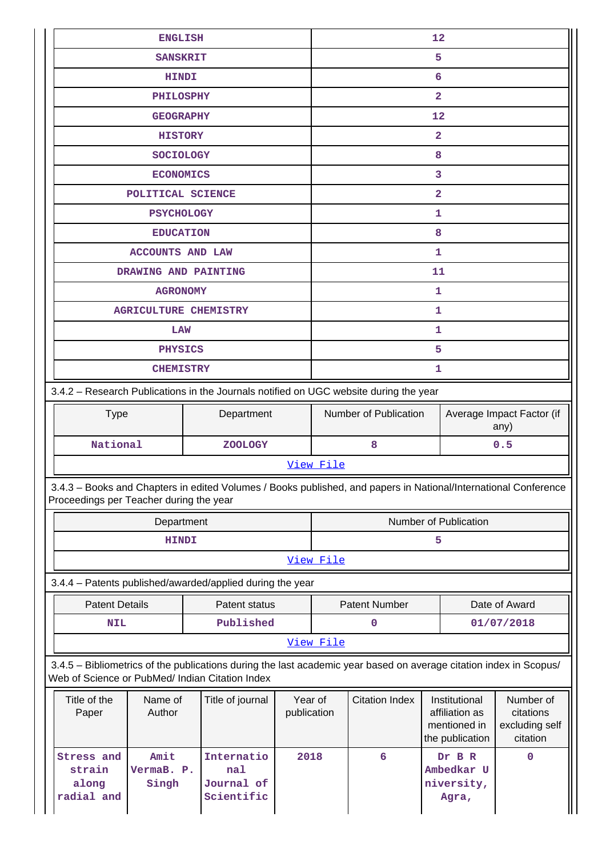|                                                                                                                                                                       | <b>ENGLISH</b><br><b>SANSKRIT</b>             | 12<br>5                |                                                            |                       |                                                                    |                                                      |  |  |
|-----------------------------------------------------------------------------------------------------------------------------------------------------------------------|-----------------------------------------------|------------------------|------------------------------------------------------------|-----------------------|--------------------------------------------------------------------|------------------------------------------------------|--|--|
|                                                                                                                                                                       | 6                                             |                        |                                                            |                       |                                                                    |                                                      |  |  |
| <b>HINDI</b>                                                                                                                                                          |                                               |                        |                                                            |                       |                                                                    |                                                      |  |  |
| <b>PHILOSPHY</b>                                                                                                                                                      |                                               |                        | $\overline{\mathbf{2}}$                                    |                       |                                                                    |                                                      |  |  |
| <b>GEOGRAPHY</b>                                                                                                                                                      |                                               |                        |                                                            | 12                    |                                                                    |                                                      |  |  |
| <b>HISTORY</b>                                                                                                                                                        |                                               |                        |                                                            |                       | $\overline{\mathbf{2}}$                                            |                                                      |  |  |
| <b>SOCIOLOGY</b>                                                                                                                                                      |                                               |                        |                                                            |                       | 8<br>3                                                             |                                                      |  |  |
| <b>ECONOMICS</b>                                                                                                                                                      |                                               |                        |                                                            |                       | $\overline{\mathbf{2}}$                                            |                                                      |  |  |
| POLITICAL SCIENCE<br><b>PSYCHOLOGY</b>                                                                                                                                |                                               |                        |                                                            |                       | 1                                                                  |                                                      |  |  |
| <b>EDUCATION</b>                                                                                                                                                      |                                               |                        |                                                            |                       | 8                                                                  |                                                      |  |  |
|                                                                                                                                                                       |                                               |                        |                                                            |                       | 1                                                                  |                                                      |  |  |
| <b>ACCOUNTS AND LAW</b><br>DRAWING AND PAINTING                                                                                                                       |                                               |                        |                                                            |                       | 11                                                                 |                                                      |  |  |
| <b>AGRONOMY</b>                                                                                                                                                       |                                               |                        |                                                            |                       | 1                                                                  |                                                      |  |  |
| <b>AGRICULTURE CHEMISTRY</b>                                                                                                                                          |                                               |                        |                                                            |                       | 1                                                                  |                                                      |  |  |
| LAW                                                                                                                                                                   |                                               |                        |                                                            |                       | 1                                                                  |                                                      |  |  |
| <b>PHYSICS</b>                                                                                                                                                        |                                               |                        |                                                            |                       | 5                                                                  |                                                      |  |  |
| <b>CHEMISTRY</b>                                                                                                                                                      |                                               |                        |                                                            |                       | 1                                                                  |                                                      |  |  |
| 3.4.2 - Research Publications in the Journals notified on UGC website during the year                                                                                 |                                               |                        |                                                            |                       |                                                                    |                                                      |  |  |
|                                                                                                                                                                       |                                               |                        |                                                            |                       |                                                                    |                                                      |  |  |
| <b>Type</b>                                                                                                                                                           | Department                                    |                        | Number of Publication<br>Average Impact Factor (if<br>any) |                       |                                                                    |                                                      |  |  |
| National                                                                                                                                                              | <b>ZOOLOGY</b>                                |                        | 8<br>0.5                                                   |                       |                                                                    |                                                      |  |  |
|                                                                                                                                                                       |                                               |                        | View File                                                  |                       |                                                                    |                                                      |  |  |
| 3.4.3 - Books and Chapters in edited Volumes / Books published, and papers in National/International Conference<br>Proceedings per Teacher during the year            |                                               |                        |                                                            |                       |                                                                    |                                                      |  |  |
| Department                                                                                                                                                            |                                               |                        | Number of Publication                                      |                       |                                                                    |                                                      |  |  |
| <b>HINDI</b>                                                                                                                                                          |                                               |                        | 5                                                          |                       |                                                                    |                                                      |  |  |
|                                                                                                                                                                       |                                               |                        | View File                                                  |                       |                                                                    |                                                      |  |  |
| 3.4.4 - Patents published/awarded/applied during the year                                                                                                             |                                               |                        |                                                            |                       |                                                                    |                                                      |  |  |
| <b>Patent Details</b>                                                                                                                                                 | Patent status                                 |                        |                                                            | <b>Patent Number</b>  |                                                                    | Date of Award                                        |  |  |
| <b>NIL</b>                                                                                                                                                            | Published                                     |                        |                                                            | $\mathbf 0$           |                                                                    | 01/07/2018                                           |  |  |
|                                                                                                                                                                       |                                               |                        | View File                                                  |                       |                                                                    |                                                      |  |  |
| 3.4.5 - Bibliometrics of the publications during the last academic year based on average citation index in Scopus/<br>Web of Science or PubMed/ Indian Citation Index |                                               |                        |                                                            |                       |                                                                    |                                                      |  |  |
| Title of the<br>Name of<br>Author<br>Paper                                                                                                                            | Title of journal                              | Year of<br>publication |                                                            | <b>Citation Index</b> | Institutional<br>affiliation as<br>mentioned in<br>the publication | Number of<br>citations<br>excluding self<br>citation |  |  |
| Amit<br>Stress and<br>VermaB. P.<br>strain<br>along<br>Singh<br>radial and                                                                                            | Internatio<br>nal<br>Journal of<br>Scientific | 2018                   |                                                            | $6\overline{6}$       | Dr B R<br>Ambedkar U<br>niversity,<br>Agra,                        | $\mathbf 0$                                          |  |  |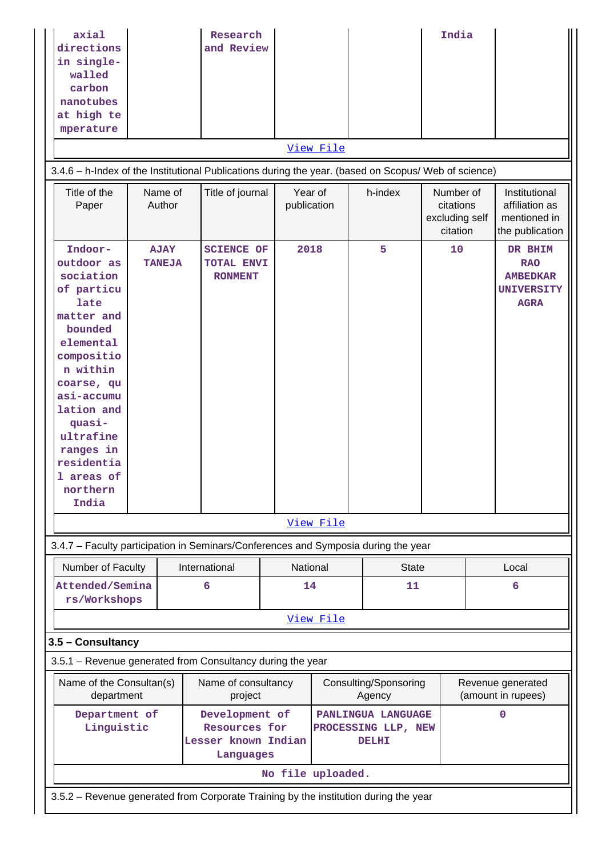| axial<br>directions<br>in single-<br>walled<br>carbon<br>nanotubes<br>at high te<br>mperature                                                                                                                                                           |                                                                                      |  | Research<br>and Review                                              |                        |           |                                                           | India                                                |  |                                                                              |
|---------------------------------------------------------------------------------------------------------------------------------------------------------------------------------------------------------------------------------------------------------|--------------------------------------------------------------------------------------|--|---------------------------------------------------------------------|------------------------|-----------|-----------------------------------------------------------|------------------------------------------------------|--|------------------------------------------------------------------------------|
| View File                                                                                                                                                                                                                                               |                                                                                      |  |                                                                     |                        |           |                                                           |                                                      |  |                                                                              |
| 3.4.6 - h-Index of the Institutional Publications during the year. (based on Scopus/ Web of science)                                                                                                                                                    |                                                                                      |  |                                                                     |                        |           |                                                           |                                                      |  |                                                                              |
| Title of the<br>Paper                                                                                                                                                                                                                                   | Name of<br>Author                                                                    |  | Title of journal                                                    | Year of<br>publication |           | h-index                                                   | Number of<br>citations<br>excluding self<br>citation |  | Institutional<br>affiliation as<br>mentioned in<br>the publication           |
| Indoor-<br>outdoor as<br>sociation<br>of particu<br>late<br>matter and<br>bounded<br>elemental<br>compositio<br>n within<br>coarse, qu<br>asi-accumu<br>lation and<br>quasi-<br>ultrafine<br>ranges in<br>residentia<br>1 areas of<br>northern<br>India | <b>AJAY</b><br><b>TANEJA</b>                                                         |  | <b>SCIENCE OF</b><br>TOTAL ENVI<br><b>RONMENT</b>                   | 2018                   |           | 5                                                         | 10                                                   |  | DR BHIM<br><b>RAO</b><br><b>AMBEDKAR</b><br><b>UNIVERSITY</b><br><b>AGRA</b> |
|                                                                                                                                                                                                                                                         |                                                                                      |  |                                                                     |                        | View File |                                                           |                                                      |  |                                                                              |
| 3.4.7 - Faculty participation in Seminars/Conferences and Symposia during the year                                                                                                                                                                      |                                                                                      |  |                                                                     |                        |           |                                                           |                                                      |  |                                                                              |
| Number of Faculty<br>Attended/Semina<br>rs/Workshops                                                                                                                                                                                                    |                                                                                      |  | International<br>6                                                  | National<br>14         |           | <b>State</b><br>11                                        |                                                      |  | Local<br>6                                                                   |
|                                                                                                                                                                                                                                                         |                                                                                      |  |                                                                     |                        | View File |                                                           |                                                      |  |                                                                              |
| 3.5 - Consultancy                                                                                                                                                                                                                                       |                                                                                      |  |                                                                     |                        |           |                                                           |                                                      |  |                                                                              |
| 3.5.1 - Revenue generated from Consultancy during the year                                                                                                                                                                                              |                                                                                      |  |                                                                     |                        |           |                                                           |                                                      |  |                                                                              |
| Name of the Consultan(s)<br>department                                                                                                                                                                                                                  |                                                                                      |  | Name of consultancy<br>project                                      |                        |           | Consulting/Sponsoring<br>Agency                           |                                                      |  | Revenue generated<br>(amount in rupees)                                      |
| Department of<br>Linguistic                                                                                                                                                                                                                             |                                                                                      |  | Development of<br>Resources for<br>Lesser known Indian<br>Languages |                        |           | PANLINGUA LANGUAGE<br>PROCESSING LLP, NEW<br><b>DELHI</b> |                                                      |  | $\mathbf 0$                                                                  |
|                                                                                                                                                                                                                                                         |                                                                                      |  |                                                                     | No file uploaded.      |           |                                                           |                                                      |  |                                                                              |
|                                                                                                                                                                                                                                                         | 3.5.2 - Revenue generated from Corporate Training by the institution during the year |  |                                                                     |                        |           |                                                           |                                                      |  |                                                                              |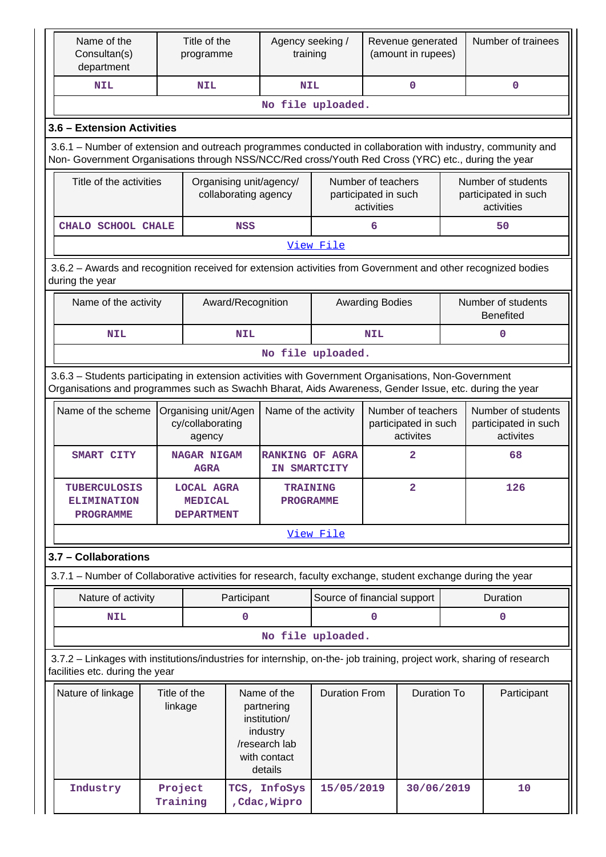| Name of the<br>Consultan(s)<br>department                                                                                                                                                                          |                         | Title of the<br>programme                                |                                                                                                   | Agency seeking /<br>training  |                             |                                                          | Revenue generated<br>(amount in rupees)                 |     | Number of trainees                                       |  |  |  |
|--------------------------------------------------------------------------------------------------------------------------------------------------------------------------------------------------------------------|-------------------------|----------------------------------------------------------|---------------------------------------------------------------------------------------------------|-------------------------------|-----------------------------|----------------------------------------------------------|---------------------------------------------------------|-----|----------------------------------------------------------|--|--|--|
| <b>NIL</b>                                                                                                                                                                                                         |                         | <b>NIL</b>                                               |                                                                                                   | <b>NIL</b>                    |                             |                                                          | $\mathbf 0$                                             |     | $\mathbf 0$                                              |  |  |  |
|                                                                                                                                                                                                                    |                         |                                                          |                                                                                                   |                               | No file uploaded.           |                                                          |                                                         |     |                                                          |  |  |  |
| 3.6 - Extension Activities                                                                                                                                                                                         |                         |                                                          |                                                                                                   |                               |                             |                                                          |                                                         |     |                                                          |  |  |  |
| 3.6.1 – Number of extension and outreach programmes conducted in collaboration with industry, community and<br>Non- Government Organisations through NSS/NCC/Red cross/Youth Red Cross (YRC) etc., during the year |                         |                                                          |                                                                                                   |                               |                             |                                                          |                                                         |     |                                                          |  |  |  |
| Title of the activities                                                                                                                                                                                            |                         |                                                          | Organising unit/agency/<br>collaborating agency                                                   |                               |                             | Number of teachers<br>participated in such<br>activities |                                                         |     | Number of students<br>participated in such<br>activities |  |  |  |
| CHALO SCHOOL CHALE                                                                                                                                                                                                 |                         |                                                          | <b>NSS</b>                                                                                        |                               |                             | 6                                                        |                                                         |     | 50                                                       |  |  |  |
|                                                                                                                                                                                                                    | View File               |                                                          |                                                                                                   |                               |                             |                                                          |                                                         |     |                                                          |  |  |  |
| 3.6.2 - Awards and recognition received for extension activities from Government and other recognized bodies<br>during the year                                                                                    |                         |                                                          |                                                                                                   |                               |                             |                                                          |                                                         |     |                                                          |  |  |  |
| Number of students<br>Name of the activity<br>Award/Recognition<br><b>Awarding Bodies</b><br><b>Benefited</b>                                                                                                      |                         |                                                          |                                                                                                   |                               |                             |                                                          |                                                         |     |                                                          |  |  |  |
| <b>NIL</b>                                                                                                                                                                                                         |                         |                                                          | <b>NIL</b>                                                                                        |                               |                             | <b>NIL</b>                                               |                                                         |     | 0                                                        |  |  |  |
|                                                                                                                                                                                                                    |                         |                                                          |                                                                                                   |                               | No file uploaded.           |                                                          |                                                         |     |                                                          |  |  |  |
| 3.6.3 - Students participating in extension activities with Government Organisations, Non-Government<br>Organisations and programmes such as Swachh Bharat, Aids Awareness, Gender Issue, etc. during the year     |                         |                                                          |                                                                                                   |                               |                             |                                                          |                                                         |     |                                                          |  |  |  |
| Name of the scheme                                                                                                                                                                                                 |                         | Organising unit/Agen<br>cy/collaborating<br>agency       |                                                                                                   | Name of the activity          |                             |                                                          | Number of teachers<br>participated in such<br>activites |     | Number of students<br>participated in such<br>activites  |  |  |  |
| <b>SMART CITY</b>                                                                                                                                                                                                  |                         | <b>NAGAR NIGAM</b><br><b>AGRA</b>                        | <b>RANKING OF AGRA</b><br>IN SMARTCITY                                                            |                               |                             |                                                          | 2                                                       |     | 68                                                       |  |  |  |
| <b>TUBERCULOSIS</b><br><b>ELIMINATION</b><br><b>PROGRAMME</b>                                                                                                                                                      |                         | <b>LOCAL AGRA</b><br><b>MEDICAL</b><br><b>DEPARTMENT</b> | <b>TRAINING</b><br><b>PROGRAMME</b>                                                               |                               |                             |                                                          | 2                                                       | 126 |                                                          |  |  |  |
|                                                                                                                                                                                                                    |                         |                                                          |                                                                                                   |                               | View File                   |                                                          |                                                         |     |                                                          |  |  |  |
| 3.7 - Collaborations                                                                                                                                                                                               |                         |                                                          |                                                                                                   |                               |                             |                                                          |                                                         |     |                                                          |  |  |  |
| 3.7.1 – Number of Collaborative activities for research, faculty exchange, student exchange during the year                                                                                                        |                         |                                                          |                                                                                                   |                               |                             |                                                          |                                                         |     |                                                          |  |  |  |
| Nature of activity                                                                                                                                                                                                 |                         |                                                          | Participant                                                                                       |                               | Source of financial support |                                                          |                                                         |     | <b>Duration</b>                                          |  |  |  |
| <b>NIL</b>                                                                                                                                                                                                         |                         |                                                          | $\mathbf 0$                                                                                       |                               |                             | $\Omega$                                                 |                                                         |     | 0                                                        |  |  |  |
|                                                                                                                                                                                                                    |                         |                                                          |                                                                                                   |                               | No file uploaded.           |                                                          |                                                         |     |                                                          |  |  |  |
| 3.7.2 - Linkages with institutions/industries for internship, on-the- job training, project work, sharing of research<br>facilities etc. during the year                                                           |                         |                                                          |                                                                                                   |                               |                             |                                                          |                                                         |     |                                                          |  |  |  |
| Nature of linkage                                                                                                                                                                                                  | Title of the<br>linkage |                                                          | Name of the<br>partnering<br>institution/<br>industry<br>/research lab<br>with contact<br>details |                               | <b>Duration From</b>        | <b>Duration To</b>                                       |                                                         |     | Participant                                              |  |  |  |
| Industry                                                                                                                                                                                                           | Project<br>Training     |                                                          |                                                                                                   | TCS, InfoSys<br>, Cdac, Wipro | 15/05/2019                  |                                                          | 30/06/2019                                              |     | 10                                                       |  |  |  |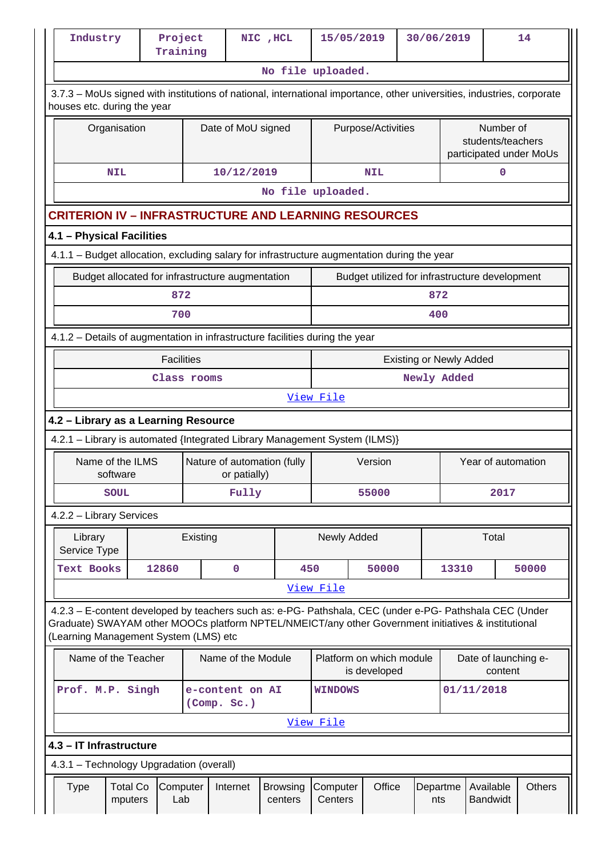| Industry                                                                                                                                                                                                                                                | Project<br>Training |                | NIC , HCL                   |                            | 15/05/2019                    |                    | 30/06/2019 |                                                |                                 | 14                      |  |
|---------------------------------------------------------------------------------------------------------------------------------------------------------------------------------------------------------------------------------------------------------|---------------------|----------------|-----------------------------|----------------------------|-------------------------------|--------------------|------------|------------------------------------------------|---------------------------------|-------------------------|--|
|                                                                                                                                                                                                                                                         |                     |                |                             |                            | No file uploaded.             |                    |            |                                                |                                 |                         |  |
| 3.7.3 - MoUs signed with institutions of national, international importance, other universities, industries, corporate<br>houses etc. during the year                                                                                                   |                     |                |                             |                            |                               |                    |            |                                                |                                 |                         |  |
| Organisation                                                                                                                                                                                                                                            |                     |                | Date of MoU signed          |                            |                               | Purpose/Activities |            |                                                | Number of<br>students/teachers  | participated under MoUs |  |
| <b>NIL</b>                                                                                                                                                                                                                                              |                     |                | 10/12/2019                  |                            |                               | <b>NIL</b>         |            |                                                | $\mathbf 0$                     |                         |  |
|                                                                                                                                                                                                                                                         |                     |                |                             |                            | No file uploaded.             |                    |            |                                                |                                 |                         |  |
| <b>CRITERION IV - INFRASTRUCTURE AND LEARNING RESOURCES</b>                                                                                                                                                                                             |                     |                |                             |                            |                               |                    |            |                                                |                                 |                         |  |
| 4.1 - Physical Facilities                                                                                                                                                                                                                               |                     |                |                             |                            |                               |                    |            |                                                |                                 |                         |  |
| 4.1.1 - Budget allocation, excluding salary for infrastructure augmentation during the year                                                                                                                                                             |                     |                |                             |                            |                               |                    |            |                                                |                                 |                         |  |
| Budget allocated for infrastructure augmentation                                                                                                                                                                                                        |                     |                |                             |                            |                               |                    |            | Budget utilized for infrastructure development |                                 |                         |  |
|                                                                                                                                                                                                                                                         | 872                 |                |                             |                            |                               |                    | 872        |                                                |                                 |                         |  |
|                                                                                                                                                                                                                                                         | 700                 |                |                             |                            |                               |                    | 400        |                                                |                                 |                         |  |
| 4.1.2 - Details of augmentation in infrastructure facilities during the year                                                                                                                                                                            |                     |                |                             |                            |                               |                    |            |                                                |                                 |                         |  |
| <b>Facilities</b><br><b>Existing or Newly Added</b>                                                                                                                                                                                                     |                     |                |                             |                            |                               |                    |            |                                                |                                 |                         |  |
|                                                                                                                                                                                                                                                         |                     | Class rooms    |                             |                            | Newly Added<br>View File      |                    |            |                                                |                                 |                         |  |
|                                                                                                                                                                                                                                                         |                     |                |                             |                            |                               |                    |            |                                                |                                 |                         |  |
| 4.2 - Library as a Learning Resource<br>4.2.1 - Library is automated {Integrated Library Management System (ILMS)}                                                                                                                                      |                     |                |                             |                            |                               |                    |            |                                                |                                 |                         |  |
| Name of the ILMS                                                                                                                                                                                                                                        |                     |                | Nature of automation (fully |                            | Version<br>Year of automation |                    |            |                                                |                                 |                         |  |
| software<br><b>SOUL</b>                                                                                                                                                                                                                                 |                     |                | or patially)<br>Fully       |                            | 55000                         |                    |            |                                                | 2017                            |                         |  |
| 4.2.2 - Library Services                                                                                                                                                                                                                                |                     |                |                             |                            |                               |                    |            |                                                |                                 |                         |  |
| Library<br>Service Type                                                                                                                                                                                                                                 |                     | Existing       |                             |                            | Newly Added                   |                    |            | Total                                          |                                 |                         |  |
| <b>Text Books</b>                                                                                                                                                                                                                                       | 12860               |                | $\mathbf 0$                 | 450                        |                               | 50000              |            | 13310                                          |                                 | 50000                   |  |
|                                                                                                                                                                                                                                                         |                     |                |                             |                            | <u>View File</u>              |                    |            |                                                |                                 |                         |  |
| 4.2.3 - E-content developed by teachers such as: e-PG- Pathshala, CEC (under e-PG- Pathshala CEC (Under<br>Graduate) SWAYAM other MOOCs platform NPTEL/NMEICT/any other Government initiatives & institutional<br>(Learning Management System (LMS) etc |                     |                |                             |                            |                               |                    |            |                                                |                                 |                         |  |
| Name of the Teacher                                                                                                                                                                                                                                     |                     |                | Name of the Module          |                            | Platform on which module      | is developed       |            |                                                | Date of launching e-<br>content |                         |  |
| Prof. M.P. Singh                                                                                                                                                                                                                                        | e-content on AI     | <b>WINDOWS</b> |                             |                            | 01/11/2018                    |                    |            |                                                |                                 |                         |  |
|                                                                                                                                                                                                                                                         |                     |                |                             |                            | <u>View File</u>              |                    |            |                                                |                                 |                         |  |
| 4.3 - IT Infrastructure                                                                                                                                                                                                                                 |                     |                |                             |                            |                               |                    |            |                                                |                                 |                         |  |
| 4.3.1 - Technology Upgradation (overall)                                                                                                                                                                                                                |                     |                |                             |                            |                               |                    |            |                                                |                                 |                         |  |
| <b>Total Co</b><br><b>Type</b><br>mputers                                                                                                                                                                                                               | Computer<br>Lab     |                | Internet                    | <b>Browsing</b><br>centers | Computer<br>Centers           | Office             |            | Departme<br>nts                                | Available<br><b>Bandwidt</b>    | <b>Others</b>           |  |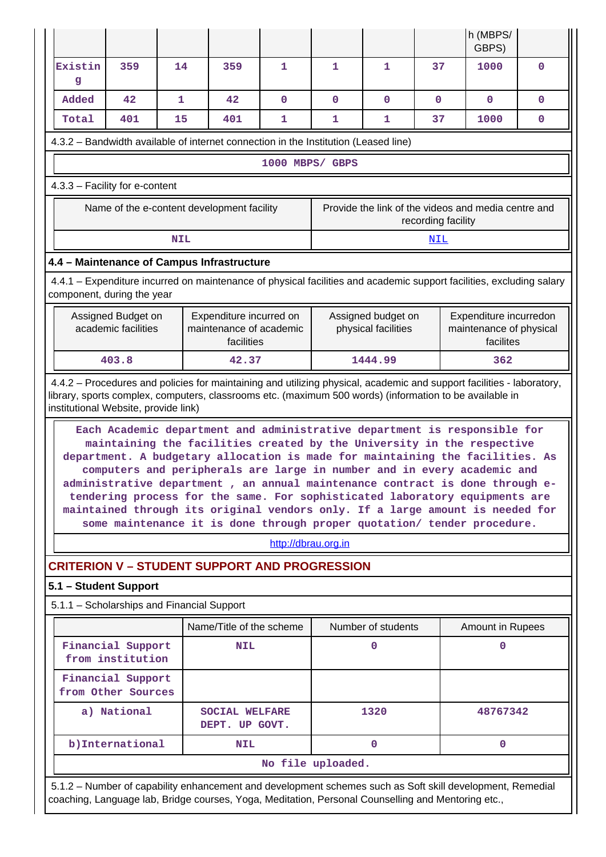|                                                                                                                                                                                                                                                                          |                                                                            |              |                                                                                                                                                                                                                                                                                                                                                                                                                                                                                 |                     |                   |                    |                    | h (MBPS/<br>GBPS)                                   |             |  |  |  |
|--------------------------------------------------------------------------------------------------------------------------------------------------------------------------------------------------------------------------------------------------------------------------|----------------------------------------------------------------------------|--------------|---------------------------------------------------------------------------------------------------------------------------------------------------------------------------------------------------------------------------------------------------------------------------------------------------------------------------------------------------------------------------------------------------------------------------------------------------------------------------------|---------------------|-------------------|--------------------|--------------------|-----------------------------------------------------|-------------|--|--|--|
| Existin<br>g                                                                                                                                                                                                                                                             | 359                                                                        | 14           | 359                                                                                                                                                                                                                                                                                                                                                                                                                                                                             | 1                   | $\mathbf{1}$      | $\mathbf{1}$       | 37                 | 1000                                                | $\mathbf 0$ |  |  |  |
| Added                                                                                                                                                                                                                                                                    | 42                                                                         | $\mathbf{1}$ | 42                                                                                                                                                                                                                                                                                                                                                                                                                                                                              | $\mathbf{O}$        | $\mathbf 0$       | 0                  | $\mathbf{0}$       | $\mathbf 0$                                         | $\mathbf 0$ |  |  |  |
| Total                                                                                                                                                                                                                                                                    | 401                                                                        | 15           | 401                                                                                                                                                                                                                                                                                                                                                                                                                                                                             | 1                   | 1                 | 1                  | 37                 | 1000                                                | $\mathbf 0$ |  |  |  |
| 4.3.2 - Bandwidth available of internet connection in the Institution (Leased line)                                                                                                                                                                                      |                                                                            |              |                                                                                                                                                                                                                                                                                                                                                                                                                                                                                 |                     |                   |                    |                    |                                                     |             |  |  |  |
|                                                                                                                                                                                                                                                                          |                                                                            |              |                                                                                                                                                                                                                                                                                                                                                                                                                                                                                 | 1000 MBPS/ GBPS     |                   |                    |                    |                                                     |             |  |  |  |
| 4.3.3 - Facility for e-content                                                                                                                                                                                                                                           |                                                                            |              |                                                                                                                                                                                                                                                                                                                                                                                                                                                                                 |                     |                   |                    |                    |                                                     |             |  |  |  |
|                                                                                                                                                                                                                                                                          |                                                                            |              | Name of the e-content development facility                                                                                                                                                                                                                                                                                                                                                                                                                                      |                     |                   |                    | recording facility | Provide the link of the videos and media centre and |             |  |  |  |
|                                                                                                                                                                                                                                                                          |                                                                            | <b>NIL</b>   |                                                                                                                                                                                                                                                                                                                                                                                                                                                                                 |                     |                   |                    | <u>NIL</u>         |                                                     |             |  |  |  |
| 4.4 - Maintenance of Campus Infrastructure                                                                                                                                                                                                                               |                                                                            |              |                                                                                                                                                                                                                                                                                                                                                                                                                                                                                 |                     |                   |                    |                    |                                                     |             |  |  |  |
| 4.4.1 – Expenditure incurred on maintenance of physical facilities and academic support facilities, excluding salary<br>component, during the year                                                                                                                       |                                                                            |              |                                                                                                                                                                                                                                                                                                                                                                                                                                                                                 |                     |                   |                    |                    |                                                     |             |  |  |  |
| Expenditure incurredon<br>Assigned Budget on<br>Expenditure incurred on<br>Assigned budget on<br>academic facilities<br>maintenance of academic<br>maintenance of physical<br>physical facilities<br>facilities<br>facilites                                             |                                                                            |              |                                                                                                                                                                                                                                                                                                                                                                                                                                                                                 |                     |                   |                    |                    |                                                     |             |  |  |  |
|                                                                                                                                                                                                                                                                          | 403.8                                                                      |              | 42.37                                                                                                                                                                                                                                                                                                                                                                                                                                                                           |                     |                   | 1444.99            |                    | 362                                                 |             |  |  |  |
| 4.4.2 – Procedures and policies for maintaining and utilizing physical, academic and support facilities - laboratory,<br>library, sports complex, computers, classrooms etc. (maximum 500 words) (information to be available in<br>institutional Website, provide link) |                                                                            |              | Each Academic department and administrative department is responsible for<br>maintaining the facilities created by the University in the respective<br>department. A budgetary allocation is made for maintaining the facilities. As<br>computers and peripherals are large in number and in every academic and<br>administrative department , an annual maintenance contract is done through e-<br>tendering process for the same. For sophisticated laboratory equipments are |                     |                   |                    |                    |                                                     |             |  |  |  |
|                                                                                                                                                                                                                                                                          |                                                                            |              | maintained through its original vendors only. If a large amount is needed for<br>some maintenance it is done through proper quotation/ tender procedure.                                                                                                                                                                                                                                                                                                                        |                     |                   |                    |                    |                                                     |             |  |  |  |
|                                                                                                                                                                                                                                                                          |                                                                            |              |                                                                                                                                                                                                                                                                                                                                                                                                                                                                                 | http://dbrau.org.in |                   |                    |                    |                                                     |             |  |  |  |
| <b>CRITERION V - STUDENT SUPPORT AND PROGRESSION</b>                                                                                                                                                                                                                     |                                                                            |              |                                                                                                                                                                                                                                                                                                                                                                                                                                                                                 |                     |                   |                    |                    |                                                     |             |  |  |  |
| 5.1 - Student Support                                                                                                                                                                                                                                                    |                                                                            |              |                                                                                                                                                                                                                                                                                                                                                                                                                                                                                 |                     |                   |                    |                    |                                                     |             |  |  |  |
| 5.1.1 - Scholarships and Financial Support                                                                                                                                                                                                                               |                                                                            |              |                                                                                                                                                                                                                                                                                                                                                                                                                                                                                 |                     |                   |                    |                    |                                                     |             |  |  |  |
|                                                                                                                                                                                                                                                                          |                                                                            |              | Name/Title of the scheme                                                                                                                                                                                                                                                                                                                                                                                                                                                        |                     |                   | Number of students |                    | Amount in Rupees                                    |             |  |  |  |
|                                                                                                                                                                                                                                                                          | Financial Support<br>from institution                                      |              | <b>NIL</b>                                                                                                                                                                                                                                                                                                                                                                                                                                                                      |                     |                   | 0                  |                    | 0                                                   |             |  |  |  |
|                                                                                                                                                                                                                                                                          | Financial Support<br>from Other Sources                                    |              |                                                                                                                                                                                                                                                                                                                                                                                                                                                                                 |                     |                   |                    |                    |                                                     |             |  |  |  |
|                                                                                                                                                                                                                                                                          | 48767342<br>a) National<br>1320<br><b>SOCIAL WELFARE</b><br>DEPT. UP GOVT. |              |                                                                                                                                                                                                                                                                                                                                                                                                                                                                                 |                     |                   |                    |                    |                                                     |             |  |  |  |
|                                                                                                                                                                                                                                                                          | b) International                                                           |              | <b>NIL</b>                                                                                                                                                                                                                                                                                                                                                                                                                                                                      |                     |                   | $\mathbf 0$        |                    | $\mathbf{0}$                                        |             |  |  |  |
|                                                                                                                                                                                                                                                                          |                                                                            |              |                                                                                                                                                                                                                                                                                                                                                                                                                                                                                 |                     | No file uploaded. |                    |                    |                                                     |             |  |  |  |
| 5.1.2 - Number of capability enhancement and development schemes such as Soft skill development, Remedial<br>coaching, Language lab, Bridge courses, Yoga, Meditation, Personal Counselling and Mentoring etc.,                                                          |                                                                            |              |                                                                                                                                                                                                                                                                                                                                                                                                                                                                                 |                     |                   |                    |                    |                                                     |             |  |  |  |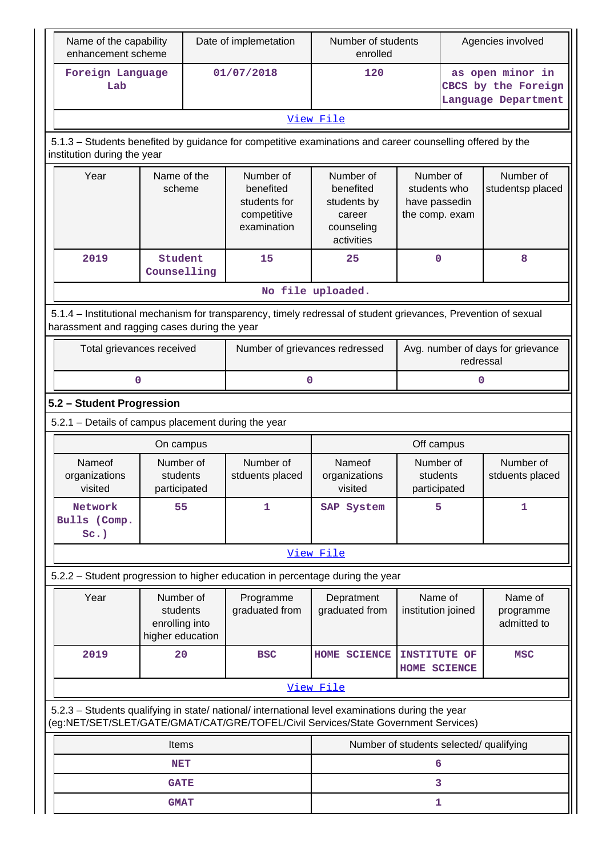|                                                                                                                                                                                        | Name of the capability<br>Date of implemetation<br>enhancement scheme |  |                                                                      | Number of students<br>enrolled                                              |                                       | Agencies involved                                            |                                                                |  |  |
|----------------------------------------------------------------------------------------------------------------------------------------------------------------------------------------|-----------------------------------------------------------------------|--|----------------------------------------------------------------------|-----------------------------------------------------------------------------|---------------------------------------|--------------------------------------------------------------|----------------------------------------------------------------|--|--|
| Foreign Language<br>Lab                                                                                                                                                                |                                                                       |  | 01/07/2018                                                           | 120                                                                         |                                       |                                                              | as open minor in<br>CBCS by the Foreign<br>Language Department |  |  |
|                                                                                                                                                                                        |                                                                       |  |                                                                      | View File                                                                   |                                       |                                                              |                                                                |  |  |
| 5.1.3 – Students benefited by guidance for competitive examinations and career counselling offered by the<br>institution during the year                                               |                                                                       |  |                                                                      |                                                                             |                                       |                                                              |                                                                |  |  |
| Year                                                                                                                                                                                   | Name of the<br>scheme                                                 |  | Number of<br>benefited<br>students for<br>competitive<br>examination | Number of<br>benefited<br>students by<br>career<br>counseling<br>activities |                                       | Number of<br>students who<br>have passedin<br>the comp. exam | Number of<br>studentsp placed                                  |  |  |
| 2019                                                                                                                                                                                   | Student<br>Counselling                                                |  | 15                                                                   | 25                                                                          | $\mathbf 0$                           |                                                              | 8                                                              |  |  |
|                                                                                                                                                                                        |                                                                       |  |                                                                      | No file uploaded.                                                           |                                       |                                                              |                                                                |  |  |
| 5.1.4 – Institutional mechanism for transparency, timely redressal of student grievances, Prevention of sexual<br>harassment and ragging cases during the year                         |                                                                       |  |                                                                      |                                                                             |                                       |                                                              |                                                                |  |  |
| Total grievances received                                                                                                                                                              |                                                                       |  | Number of grievances redressed                                       |                                                                             |                                       | Avg. number of days for grievance<br>redressal               |                                                                |  |  |
| 0                                                                                                                                                                                      |                                                                       |  |                                                                      | 0<br>$\mathbf 0$                                                            |                                       |                                                              |                                                                |  |  |
| 5.2 - Student Progression                                                                                                                                                              |                                                                       |  |                                                                      |                                                                             |                                       |                                                              |                                                                |  |  |
| 5.2.1 - Details of campus placement during the year                                                                                                                                    |                                                                       |  |                                                                      |                                                                             |                                       |                                                              |                                                                |  |  |
|                                                                                                                                                                                        | On campus                                                             |  |                                                                      |                                                                             | Off campus                            |                                                              |                                                                |  |  |
| <b>Nameof</b><br>organizations<br>visited                                                                                                                                              | Number of<br>students<br>participated                                 |  | Number of<br>stduents placed                                         | Nameof<br>organizations<br>visited                                          | Number of<br>students<br>participated |                                                              | Number of<br>stduents placed                                   |  |  |
| Network<br>Bulls (Comp.<br>$Sc.$ )                                                                                                                                                     | 55                                                                    |  | 1                                                                    | SAP System                                                                  | 5                                     |                                                              | 1                                                              |  |  |
|                                                                                                                                                                                        |                                                                       |  |                                                                      | View File                                                                   |                                       |                                                              |                                                                |  |  |
| 5.2.2 - Student progression to higher education in percentage during the year                                                                                                          |                                                                       |  |                                                                      |                                                                             |                                       |                                                              |                                                                |  |  |
| Year                                                                                                                                                                                   | Number of<br>students<br>enrolling into<br>higher education           |  | Programme<br>graduated from                                          | Depratment<br>graduated from                                                | Name of<br>institution joined         |                                                              | Name of<br>programme<br>admitted to                            |  |  |
| 2019                                                                                                                                                                                   | 20                                                                    |  | <b>BSC</b>                                                           | HOME SCIENCE                                                                | INSTITUTE OF<br>HOME SCIENCE          |                                                              | <b>MSC</b>                                                     |  |  |
|                                                                                                                                                                                        |                                                                       |  |                                                                      | View File                                                                   |                                       |                                                              |                                                                |  |  |
| 5.2.3 - Students qualifying in state/ national/ international level examinations during the year<br>(eg:NET/SET/SLET/GATE/GMAT/CAT/GRE/TOFEL/Civil Services/State Government Services) |                                                                       |  |                                                                      |                                                                             |                                       |                                                              |                                                                |  |  |
|                                                                                                                                                                                        | Items                                                                 |  |                                                                      | Number of students selected/ qualifying                                     |                                       |                                                              |                                                                |  |  |
|                                                                                                                                                                                        | <b>NET</b>                                                            |  |                                                                      |                                                                             | 6                                     |                                                              |                                                                |  |  |
|                                                                                                                                                                                        | <b>GATE</b>                                                           |  |                                                                      |                                                                             | 3                                     |                                                              |                                                                |  |  |
|                                                                                                                                                                                        | <b>GMAT</b>                                                           |  |                                                                      |                                                                             | 1                                     |                                                              |                                                                |  |  |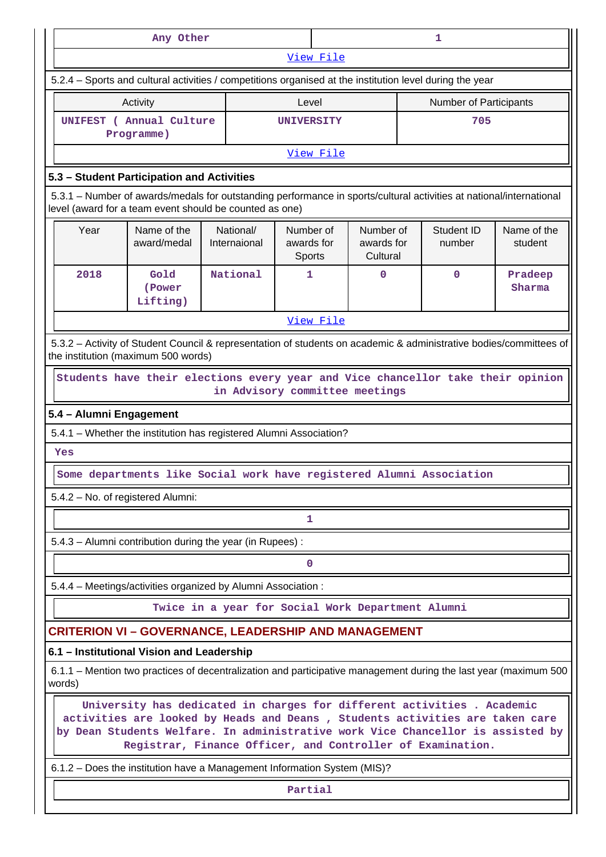|                                                                                                                                                                                                                                                                                                          | Any Other                                                                                                                                                                      |                                                   |                                   |           |                                     |  | 1                      |                        |  |
|----------------------------------------------------------------------------------------------------------------------------------------------------------------------------------------------------------------------------------------------------------------------------------------------------------|--------------------------------------------------------------------------------------------------------------------------------------------------------------------------------|---------------------------------------------------|-----------------------------------|-----------|-------------------------------------|--|------------------------|------------------------|--|
|                                                                                                                                                                                                                                                                                                          |                                                                                                                                                                                |                                                   |                                   | View File |                                     |  |                        |                        |  |
|                                                                                                                                                                                                                                                                                                          | 5.2.4 – Sports and cultural activities / competitions organised at the institution level during the year                                                                       |                                                   |                                   |           |                                     |  |                        |                        |  |
|                                                                                                                                                                                                                                                                                                          | Activity                                                                                                                                                                       |                                                   | Level                             |           |                                     |  | Number of Participants |                        |  |
|                                                                                                                                                                                                                                                                                                          | UNIFEST ( Annual Culture<br>Programme)                                                                                                                                         |                                                   | <b>UNIVERSITY</b>                 |           |                                     |  | 705                    |                        |  |
|                                                                                                                                                                                                                                                                                                          |                                                                                                                                                                                |                                                   |                                   | View File |                                     |  |                        |                        |  |
|                                                                                                                                                                                                                                                                                                          | 5.3 - Student Participation and Activities                                                                                                                                     |                                                   |                                   |           |                                     |  |                        |                        |  |
|                                                                                                                                                                                                                                                                                                          | 5.3.1 – Number of awards/medals for outstanding performance in sports/cultural activities at national/international<br>level (award for a team event should be counted as one) |                                                   |                                   |           |                                     |  |                        |                        |  |
| Year                                                                                                                                                                                                                                                                                                     | Name of the<br>award/medal                                                                                                                                                     | National/<br>Internaional                         | Number of<br>awards for<br>Sports |           | Number of<br>awards for<br>Cultural |  | Student ID<br>number   | Name of the<br>student |  |
| 2018                                                                                                                                                                                                                                                                                                     | Gold<br>(Power<br>Lifting)                                                                                                                                                     | National                                          | 1                                 |           | 0                                   |  | $\mathbf 0$            | Pradeep<br>Sharma      |  |
| View File                                                                                                                                                                                                                                                                                                |                                                                                                                                                                                |                                                   |                                   |           |                                     |  |                        |                        |  |
| 5.3.2 - Activity of Student Council & representation of students on academic & administrative bodies/committees of<br>the institution (maximum 500 words)                                                                                                                                                |                                                                                                                                                                                |                                                   |                                   |           |                                     |  |                        |                        |  |
|                                                                                                                                                                                                                                                                                                          | Students have their elections every year and Vice chancellor take their opinion                                                                                                | in Advisory committee meetings                    |                                   |           |                                     |  |                        |                        |  |
| 5.4 - Alumni Engagement                                                                                                                                                                                                                                                                                  |                                                                                                                                                                                |                                                   |                                   |           |                                     |  |                        |                        |  |
|                                                                                                                                                                                                                                                                                                          | 5.4.1 - Whether the institution has registered Alumni Association?                                                                                                             |                                                   |                                   |           |                                     |  |                        |                        |  |
| Yes                                                                                                                                                                                                                                                                                                      |                                                                                                                                                                                |                                                   |                                   |           |                                     |  |                        |                        |  |
|                                                                                                                                                                                                                                                                                                          | Some departments like Social work have registered Alumni Association                                                                                                           |                                                   |                                   |           |                                     |  |                        |                        |  |
|                                                                                                                                                                                                                                                                                                          | 5.4.2 - No. of registered Alumni:                                                                                                                                              |                                                   |                                   |           |                                     |  |                        |                        |  |
|                                                                                                                                                                                                                                                                                                          |                                                                                                                                                                                |                                                   | 1                                 |           |                                     |  |                        |                        |  |
|                                                                                                                                                                                                                                                                                                          | 5.4.3 - Alumni contribution during the year (in Rupees) :                                                                                                                      |                                                   |                                   |           |                                     |  |                        |                        |  |
|                                                                                                                                                                                                                                                                                                          |                                                                                                                                                                                |                                                   | 0                                 |           |                                     |  |                        |                        |  |
|                                                                                                                                                                                                                                                                                                          | 5.4.4 - Meetings/activities organized by Alumni Association:                                                                                                                   |                                                   |                                   |           |                                     |  |                        |                        |  |
|                                                                                                                                                                                                                                                                                                          |                                                                                                                                                                                | Twice in a year for Social Work Department Alumni |                                   |           |                                     |  |                        |                        |  |
|                                                                                                                                                                                                                                                                                                          | <b>CRITERION VI - GOVERNANCE, LEADERSHIP AND MANAGEMENT</b>                                                                                                                    |                                                   |                                   |           |                                     |  |                        |                        |  |
|                                                                                                                                                                                                                                                                                                          | 6.1 - Institutional Vision and Leadership                                                                                                                                      |                                                   |                                   |           |                                     |  |                        |                        |  |
| words)                                                                                                                                                                                                                                                                                                   | 6.1.1 – Mention two practices of decentralization and participative management during the last year (maximum 500                                                               |                                                   |                                   |           |                                     |  |                        |                        |  |
| University has dedicated in charges for different activities . Academic<br>activities are looked by Heads and Deans, Students activities are taken care<br>by Dean Students Welfare. In administrative work Vice Chancellor is assisted by<br>Registrar, Finance Officer, and Controller of Examination. |                                                                                                                                                                                |                                                   |                                   |           |                                     |  |                        |                        |  |
|                                                                                                                                                                                                                                                                                                          | 6.1.2 - Does the institution have a Management Information System (MIS)?                                                                                                       |                                                   |                                   |           |                                     |  |                        |                        |  |
|                                                                                                                                                                                                                                                                                                          |                                                                                                                                                                                |                                                   | Partial                           |           |                                     |  |                        |                        |  |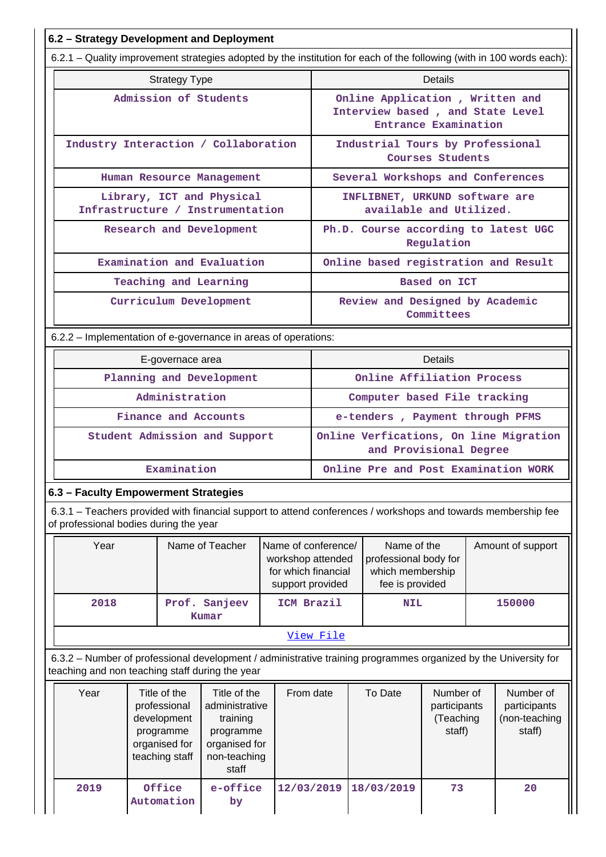| 6.2 - Strategy Development and Deployment                                                                                                                          |                                                                                             |                                                                                                |                                                                                     |                                                                                             |            |                                                                             |                                                  |  |                                                      |  |
|--------------------------------------------------------------------------------------------------------------------------------------------------------------------|---------------------------------------------------------------------------------------------|------------------------------------------------------------------------------------------------|-------------------------------------------------------------------------------------|---------------------------------------------------------------------------------------------|------------|-----------------------------------------------------------------------------|--------------------------------------------------|--|------------------------------------------------------|--|
| 6.2.1 - Quality improvement strategies adopted by the institution for each of the following (with in 100 words each):                                              |                                                                                             |                                                                                                |                                                                                     |                                                                                             |            |                                                                             |                                                  |  |                                                      |  |
|                                                                                                                                                                    | <b>Strategy Type</b>                                                                        |                                                                                                |                                                                                     |                                                                                             |            |                                                                             | <b>Details</b>                                   |  |                                                      |  |
|                                                                                                                                                                    |                                                                                             | Admission of Students                                                                          |                                                                                     | Online Application, Written and<br>Interview based, and State Level<br>Entrance Examination |            |                                                                             |                                                  |  |                                                      |  |
| Industry Interaction / Collaboration                                                                                                                               |                                                                                             |                                                                                                |                                                                                     | Industrial Tours by Professional<br>Courses Students                                        |            |                                                                             |                                                  |  |                                                      |  |
|                                                                                                                                                                    |                                                                                             | Human Resource Management                                                                      |                                                                                     |                                                                                             |            | Several Workshops and Conferences                                           |                                                  |  |                                                      |  |
| Library, ICT and Physical<br>Infrastructure / Instrumentation                                                                                                      |                                                                                             |                                                                                                |                                                                                     | INFLIBNET, URKUND software are<br>available and Utilized.                                   |            |                                                                             |                                                  |  |                                                      |  |
| Research and Development                                                                                                                                           |                                                                                             |                                                                                                |                                                                                     |                                                                                             | Regulation |                                                                             | Ph.D. Course according to latest UGC             |  |                                                      |  |
| Examination and Evaluation                                                                                                                                         |                                                                                             |                                                                                                |                                                                                     |                                                                                             |            |                                                                             |                                                  |  | Online based registration and Result                 |  |
|                                                                                                                                                                    |                                                                                             | Teaching and Learning                                                                          |                                                                                     |                                                                                             |            |                                                                             | Based on ICT                                     |  |                                                      |  |
| Curriculum Development                                                                                                                                             |                                                                                             |                                                                                                |                                                                                     | Review and Designed by Academic                                                             | Committees |                                                                             |                                                  |  |                                                      |  |
| 6.2.2 - Implementation of e-governance in areas of operations:                                                                                                     |                                                                                             |                                                                                                |                                                                                     |                                                                                             |            |                                                                             |                                                  |  |                                                      |  |
|                                                                                                                                                                    | E-governace area                                                                            |                                                                                                |                                                                                     |                                                                                             |            |                                                                             | Details                                          |  |                                                      |  |
|                                                                                                                                                                    |                                                                                             | Planning and Development                                                                       |                                                                                     |                                                                                             |            | Online Affiliation Process                                                  |                                                  |  |                                                      |  |
|                                                                                                                                                                    | Administration                                                                              |                                                                                                |                                                                                     |                                                                                             |            | Computer based File tracking                                                |                                                  |  |                                                      |  |
|                                                                                                                                                                    |                                                                                             | Finance and Accounts                                                                           |                                                                                     |                                                                                             |            | e-tenders, Payment through PFMS                                             |                                                  |  |                                                      |  |
| Student Admission and Support                                                                                                                                      |                                                                                             |                                                                                                |                                                                                     | Online Verfications, On line Migration<br>and Provisional Degree                            |            |                                                                             |                                                  |  |                                                      |  |
|                                                                                                                                                                    | Examination                                                                                 |                                                                                                |                                                                                     | Online Pre and Post Examination WORK                                                        |            |                                                                             |                                                  |  |                                                      |  |
| 6.3 - Faculty Empowerment Strategies                                                                                                                               |                                                                                             |                                                                                                |                                                                                     |                                                                                             |            |                                                                             |                                                  |  |                                                      |  |
| 6.3.1 – Teachers provided with financial support to attend conferences / workshops and towards membership fee<br>of professional bodies during the year            |                                                                                             |                                                                                                |                                                                                     |                                                                                             |            |                                                                             |                                                  |  |                                                      |  |
| Year                                                                                                                                                               |                                                                                             | Name of Teacher                                                                                | Name of conference/<br>workshop attended<br>for which financial<br>support provided |                                                                                             |            | Name of the<br>professional body for<br>which membership<br>fee is provided |                                                  |  | Amount of support                                    |  |
| 2018                                                                                                                                                               |                                                                                             | Prof. Sanjeev<br>Kumar                                                                         | ICM Brazil                                                                          |                                                                                             |            | <b>NIL</b>                                                                  |                                                  |  | 150000                                               |  |
|                                                                                                                                                                    |                                                                                             |                                                                                                |                                                                                     | View File                                                                                   |            |                                                                             |                                                  |  |                                                      |  |
| 6.3.2 - Number of professional development / administrative training programmes organized by the University for<br>teaching and non teaching staff during the year |                                                                                             |                                                                                                |                                                                                     |                                                                                             |            |                                                                             |                                                  |  |                                                      |  |
| Year                                                                                                                                                               | Title of the<br>professional<br>development<br>programme<br>organised for<br>teaching staff | Title of the<br>administrative<br>training<br>programme<br>organised for<br>non-teaching<br>ct | From date                                                                           |                                                                                             |            | To Date                                                                     | Number of<br>participants<br>(Teaching<br>staff) |  | Number of<br>participants<br>(non-teaching<br>staff) |  |

| Year | Title of the<br>professional<br>development<br>programme<br>organised for<br>teaching staff | Title of the<br>administrative<br>training<br>programme<br>organised for<br>non-teaching<br>staff | From date  | To Date    | Number of<br>participants<br>(Teaching<br>staff) | Number of<br>participants<br>(non-teaching<br>staff) |
|------|---------------------------------------------------------------------------------------------|---------------------------------------------------------------------------------------------------|------------|------------|--------------------------------------------------|------------------------------------------------------|
| 2019 | Office<br>Automation                                                                        | e-office<br>by                                                                                    | 12/03/2019 | 18/03/2019 | 73                                               | 20                                                   |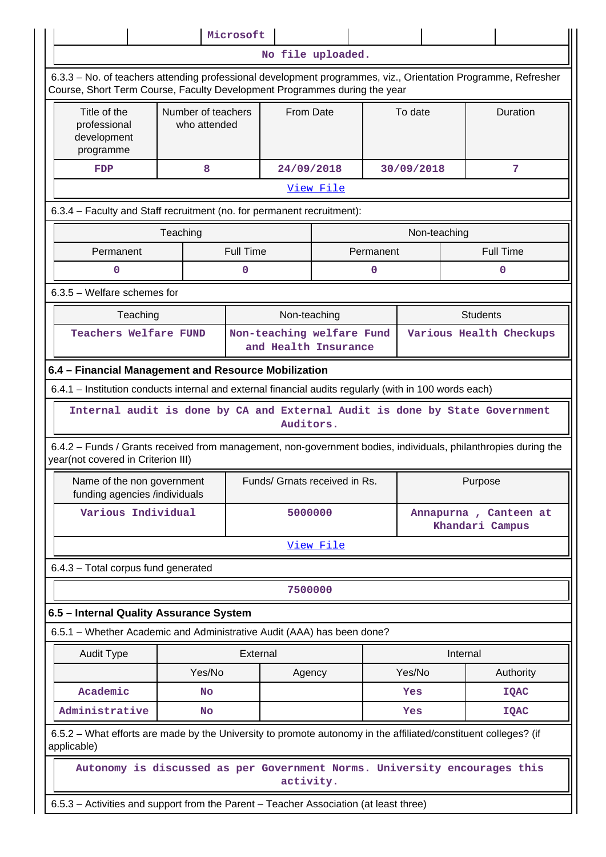|                                                                                                                                                                                            |                                    | Microsoft        |            |                               |           |              |                 |                       |  |  |
|--------------------------------------------------------------------------------------------------------------------------------------------------------------------------------------------|------------------------------------|------------------|------------|-------------------------------|-----------|--------------|-----------------|-----------------------|--|--|
|                                                                                                                                                                                            |                                    |                  |            | No file uploaded.             |           |              |                 |                       |  |  |
| 6.3.3 - No. of teachers attending professional development programmes, viz., Orientation Programme, Refresher<br>Course, Short Term Course, Faculty Development Programmes during the year |                                    |                  |            |                               |           |              |                 |                       |  |  |
| Title of the<br>professional<br>development<br>programme                                                                                                                                   | Number of teachers<br>who attended | From Date        |            |                               |           | To date      |                 | Duration              |  |  |
| FDP                                                                                                                                                                                        | 8                                  |                  | 24/09/2018 |                               |           | 30/09/2018   |                 | 7                     |  |  |
|                                                                                                                                                                                            |                                    |                  |            | View File                     |           |              |                 |                       |  |  |
| 6.3.4 - Faculty and Staff recruitment (no. for permanent recruitment):                                                                                                                     |                                    |                  |            |                               |           |              |                 |                       |  |  |
|                                                                                                                                                                                            | Teaching                           |                  |            |                               |           | Non-teaching |                 |                       |  |  |
| Permanent                                                                                                                                                                                  |                                    | <b>Full Time</b> |            |                               | Permanent |              |                 | <b>Full Time</b>      |  |  |
| n                                                                                                                                                                                          |                                    | ŋ                |            |                               | n         |              |                 | ი                     |  |  |
| 6.3.5 - Welfare schemes for                                                                                                                                                                |                                    |                  |            |                               |           |              |                 |                       |  |  |
| <b>Students</b><br>Teaching<br>Non-teaching                                                                                                                                                |                                    |                  |            |                               |           |              |                 |                       |  |  |
| <b>Teachers Welfare FUND</b><br>Non-teaching welfare Fund<br>Various Health Checkups<br>and Health Insurance                                                                               |                                    |                  |            |                               |           |              |                 |                       |  |  |
| 6.4 - Financial Management and Resource Mobilization                                                                                                                                       |                                    |                  |            |                               |           |              |                 |                       |  |  |
| 6.4.1 - Institution conducts internal and external financial audits regularly (with in 100 words each)                                                                                     |                                    |                  |            |                               |           |              |                 |                       |  |  |
| Internal audit is done by CA and External Audit is done by State Government                                                                                                                |                                    |                  | Auditors.  |                               |           |              |                 |                       |  |  |
| 6.4.2 - Funds / Grants received from management, non-government bodies, individuals, philanthropies during the<br>year(not covered in Criterion III)                                       |                                    |                  |            |                               |           |              |                 |                       |  |  |
| Name of the non government<br>funding agencies /individuals                                                                                                                                |                                    |                  |            | Funds/ Grnats received in Rs. |           |              | Purpose         |                       |  |  |
| Various Individual                                                                                                                                                                         |                                    |                  | 5000000    |                               |           |              | Khandari Campus | Annapurna, Canteen at |  |  |
|                                                                                                                                                                                            |                                    |                  |            | View File                     |           |              |                 |                       |  |  |
| 6.4.3 - Total corpus fund generated                                                                                                                                                        |                                    |                  |            |                               |           |              |                 |                       |  |  |
|                                                                                                                                                                                            |                                    |                  | 7500000    |                               |           |              |                 |                       |  |  |
| 6.5 - Internal Quality Assurance System                                                                                                                                                    |                                    |                  |            |                               |           |              |                 |                       |  |  |
| 6.5.1 – Whether Academic and Administrative Audit (AAA) has been done?                                                                                                                     |                                    |                  |            |                               |           |              |                 |                       |  |  |
| <b>Audit Type</b>                                                                                                                                                                          |                                    | External         |            |                               |           |              | Internal        |                       |  |  |
|                                                                                                                                                                                            | Yes/No                             |                  | Agency     |                               |           | Yes/No       |                 | Authority             |  |  |
| Academic                                                                                                                                                                                   | <b>No</b>                          |                  |            |                               |           | Yes          |                 | <b>IQAC</b>           |  |  |
| Administrative                                                                                                                                                                             | No                                 |                  |            |                               |           | Yes          |                 | <b>IQAC</b>           |  |  |
| 6.5.2 – What efforts are made by the University to promote autonomy in the affiliated/constituent colleges? (if<br>applicable)                                                             |                                    |                  |            |                               |           |              |                 |                       |  |  |
| Autonomy is discussed as per Government Norms. University encourages this                                                                                                                  |                                    |                  | activity.  |                               |           |              |                 |                       |  |  |
| 6.5.3 - Activities and support from the Parent - Teacher Association (at least three)                                                                                                      |                                    |                  |            |                               |           |              |                 |                       |  |  |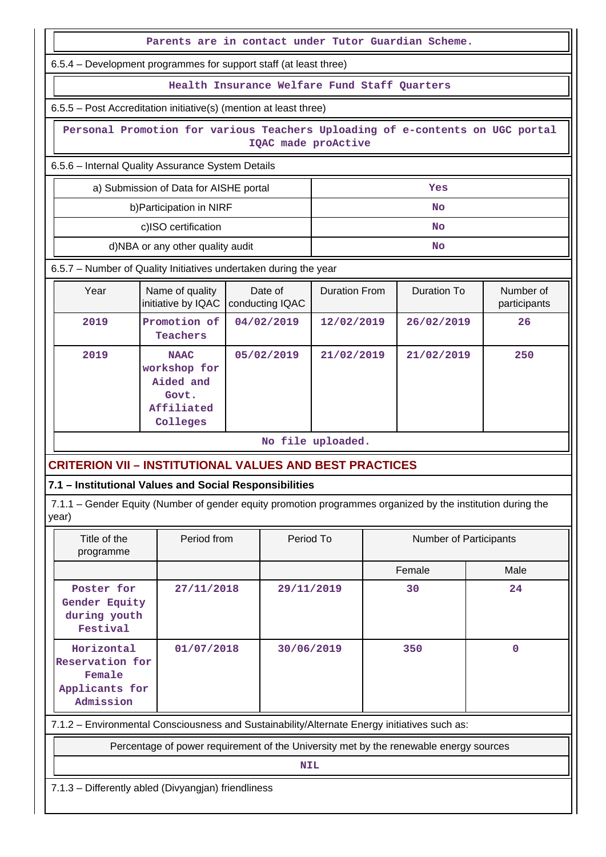|                                                         |                                                                                                             | Parents are in contact under Tutor Guardian Scheme. |                      |  |                               |                           |  |  |  |  |  |
|---------------------------------------------------------|-------------------------------------------------------------------------------------------------------------|-----------------------------------------------------|----------------------|--|-------------------------------|---------------------------|--|--|--|--|--|
|                                                         | 6.5.4 – Development programmes for support staff (at least three)                                           |                                                     |                      |  |                               |                           |  |  |  |  |  |
|                                                         |                                                                                                             | Health Insurance Welfare Fund Staff Quarters        |                      |  |                               |                           |  |  |  |  |  |
|                                                         | 6.5.5 - Post Accreditation initiative(s) (mention at least three)                                           |                                                     |                      |  |                               |                           |  |  |  |  |  |
|                                                         | Personal Promotion for various Teachers Uploading of e-contents on UGC portal                               | IQAC made proActive                                 |                      |  |                               |                           |  |  |  |  |  |
|                                                         | 6.5.6 - Internal Quality Assurance System Details                                                           |                                                     |                      |  |                               |                           |  |  |  |  |  |
| a) Submission of Data for AISHE portal<br>Yes           |                                                                                                             |                                                     |                      |  |                               |                           |  |  |  |  |  |
| b) Participation in NIRF<br><b>No</b>                   |                                                                                                             |                                                     |                      |  |                               |                           |  |  |  |  |  |
|                                                         | c)ISO certification                                                                                         |                                                     |                      |  | <b>No</b>                     |                           |  |  |  |  |  |
|                                                         | d)NBA or any other quality audit                                                                            |                                                     |                      |  | No                            |                           |  |  |  |  |  |
|                                                         | 6.5.7 - Number of Quality Initiatives undertaken during the year                                            |                                                     |                      |  |                               |                           |  |  |  |  |  |
| Year                                                    | Name of quality<br>initiative by IQAC                                                                       | Date of<br>conducting IQAC                          | <b>Duration From</b> |  | <b>Duration To</b>            | Number of<br>participants |  |  |  |  |  |
| 2019                                                    | Promotion of<br>Teachers                                                                                    | 04/02/2019                                          | 12/02/2019           |  | 26/02/2019                    | 26                        |  |  |  |  |  |
| 2019                                                    | <b>NAAC</b><br>workshop for<br>Aided and<br>Govt.<br>Affiliated<br>Colleges                                 |                                                     | 21/02/2019           |  | 21/02/2019                    | 250                       |  |  |  |  |  |
|                                                         |                                                                                                             |                                                     | No file uploaded.    |  |                               |                           |  |  |  |  |  |
|                                                         | <b>CRITERION VII - INSTITUTIONAL VALUES AND BEST PRACTICES</b>                                              |                                                     |                      |  |                               |                           |  |  |  |  |  |
| 7.1 - Institutional Values and Social Responsibilities  |                                                                                                             |                                                     |                      |  |                               |                           |  |  |  |  |  |
| year)                                                   | 7.1.1 – Gender Equity (Number of gender equity promotion programmes organized by the institution during the |                                                     |                      |  |                               |                           |  |  |  |  |  |
| Title of the<br>programme                               | Period from                                                                                                 |                                                     | Period To            |  | <b>Number of Participants</b> |                           |  |  |  |  |  |
|                                                         |                                                                                                             |                                                     |                      |  | Female                        | Male                      |  |  |  |  |  |
| Poster for<br>Gender Equity<br>during youth<br>Festival | 27/11/2018                                                                                                  |                                                     | 29/11/2019           |  | 30                            | 24                        |  |  |  |  |  |
| Female<br>Admission                                     | Horizontal<br>30/06/2019<br>350<br>$\mathbf 0$<br>01/07/2018<br>Reservation for<br>Applicants for           |                                                     |                      |  |                               |                           |  |  |  |  |  |
|                                                         | 7.1.2 - Environmental Consciousness and Sustainability/Alternate Energy initiatives such as:                |                                                     |                      |  |                               |                           |  |  |  |  |  |
|                                                         | Percentage of power requirement of the University met by the renewable energy sources                       |                                                     |                      |  |                               |                           |  |  |  |  |  |
|                                                         |                                                                                                             |                                                     | <b>NIL</b>           |  |                               |                           |  |  |  |  |  |
|                                                         | 7.1.3 - Differently abled (Divyangjan) friendliness                                                         |                                                     |                      |  |                               |                           |  |  |  |  |  |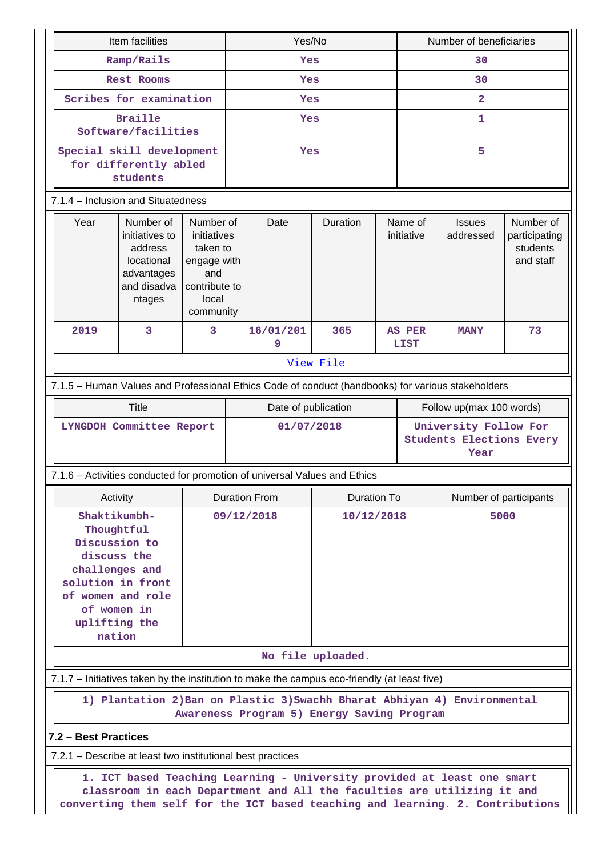|                                                                                                   | Item facilities                                                                                                                                                  |                                                                                                   |            | Yes/No                                                                                                                                                                                                                               |                   |                       |                                                                  | Number of beneficiaries    |                                                     |  |  |
|---------------------------------------------------------------------------------------------------|------------------------------------------------------------------------------------------------------------------------------------------------------------------|---------------------------------------------------------------------------------------------------|------------|--------------------------------------------------------------------------------------------------------------------------------------------------------------------------------------------------------------------------------------|-------------------|-----------------------|------------------------------------------------------------------|----------------------------|-----------------------------------------------------|--|--|
|                                                                                                   | Ramp/Rails                                                                                                                                                       |                                                                                                   | Yes        |                                                                                                                                                                                                                                      |                   |                       | 30                                                               |                            |                                                     |  |  |
|                                                                                                   | <b>Rest Rooms</b>                                                                                                                                                |                                                                                                   |            | Yes                                                                                                                                                                                                                                  |                   |                       | 30                                                               |                            |                                                     |  |  |
|                                                                                                   | Scribes for examination                                                                                                                                          |                                                                                                   | Yes        |                                                                                                                                                                                                                                      |                   |                       |                                                                  | $\overline{\mathbf{2}}$    |                                                     |  |  |
|                                                                                                   | <b>Braille</b><br>Software/facilities                                                                                                                            |                                                                                                   | Yes        |                                                                                                                                                                                                                                      |                   |                       |                                                                  | 1                          |                                                     |  |  |
|                                                                                                   | Special skill development<br>for differently abled<br>students                                                                                                   |                                                                                                   | Yes        |                                                                                                                                                                                                                                      |                   |                       |                                                                  | 5                          |                                                     |  |  |
| 7.1.4 - Inclusion and Situatedness                                                                |                                                                                                                                                                  |                                                                                                   |            |                                                                                                                                                                                                                                      |                   |                       |                                                                  |                            |                                                     |  |  |
| Year                                                                                              | Number of<br>initiatives to<br>address<br>locational<br>advantages<br>and disadva<br>ntages                                                                      | Number of<br>initiatives<br>taken to<br>engage with<br>and<br>contribute to<br>local<br>community |            | Date                                                                                                                                                                                                                                 | Duration          | Name of<br>initiative |                                                                  | <b>Issues</b><br>addressed | Number of<br>participating<br>students<br>and staff |  |  |
| 2019                                                                                              | 3<br>3                                                                                                                                                           |                                                                                                   |            |                                                                                                                                                                                                                                      | 365               |                       | <b>AS PER</b><br>LIST                                            | <b>MANY</b>                | 73                                                  |  |  |
|                                                                                                   |                                                                                                                                                                  |                                                                                                   |            |                                                                                                                                                                                                                                      | View File         |                       |                                                                  |                            |                                                     |  |  |
| 7.1.5 - Human Values and Professional Ethics Code of conduct (handbooks) for various stakeholders |                                                                                                                                                                  |                                                                                                   |            |                                                                                                                                                                                                                                      |                   |                       |                                                                  |                            |                                                     |  |  |
|                                                                                                   | <b>Title</b>                                                                                                                                                     |                                                                                                   |            | Date of publication                                                                                                                                                                                                                  |                   |                       |                                                                  | Follow up(max 100 words)   |                                                     |  |  |
|                                                                                                   | LYNGDOH Committee Report                                                                                                                                         |                                                                                                   | 01/07/2018 |                                                                                                                                                                                                                                      |                   |                       | University Follow For<br><b>Students Elections Every</b><br>Year |                            |                                                     |  |  |
| 7.1.6 - Activities conducted for promotion of universal Values and Ethics                         |                                                                                                                                                                  |                                                                                                   |            |                                                                                                                                                                                                                                      |                   |                       |                                                                  |                            |                                                     |  |  |
|                                                                                                   | Activity                                                                                                                                                         |                                                                                                   |            | <b>Duration From</b>                                                                                                                                                                                                                 | Duration To       |                       |                                                                  | Number of participants     |                                                     |  |  |
|                                                                                                   | Shaktikumbh-<br>Thoughtful<br>Discussion to<br>discuss the<br>challenges and<br>solution in front<br>of women and role<br>of women in<br>uplifting the<br>nation |                                                                                                   |            | 09/12/2018                                                                                                                                                                                                                           | 10/12/2018        |                       |                                                                  | 5000                       |                                                     |  |  |
|                                                                                                   |                                                                                                                                                                  |                                                                                                   |            |                                                                                                                                                                                                                                      | No file uploaded. |                       |                                                                  |                            |                                                     |  |  |
| 7.1.7 - Initiatives taken by the institution to make the campus eco-friendly (at least five)      |                                                                                                                                                                  |                                                                                                   |            |                                                                                                                                                                                                                                      |                   |                       |                                                                  |                            |                                                     |  |  |
|                                                                                                   | 1) Plantation 2) Ban on Plastic 3) Swachh Bharat Abhiyan 4) Environmental<br>Awareness Program 5) Energy Saving Program                                          |                                                                                                   |            |                                                                                                                                                                                                                                      |                   |                       |                                                                  |                            |                                                     |  |  |
|                                                                                                   | 7.2 - Best Practices                                                                                                                                             |                                                                                                   |            |                                                                                                                                                                                                                                      |                   |                       |                                                                  |                            |                                                     |  |  |
| 7.2.1 – Describe at least two institutional best practices                                        |                                                                                                                                                                  |                                                                                                   |            |                                                                                                                                                                                                                                      |                   |                       |                                                                  |                            |                                                     |  |  |
|                                                                                                   |                                                                                                                                                                  |                                                                                                   |            | 1. ICT based Teaching Learning - University provided at least one smart<br>classroom in each Department and All the faculties are utilizing it and<br>converting them self for the ICT based teaching and learning. 2. Contributions |                   |                       |                                                                  |                            |                                                     |  |  |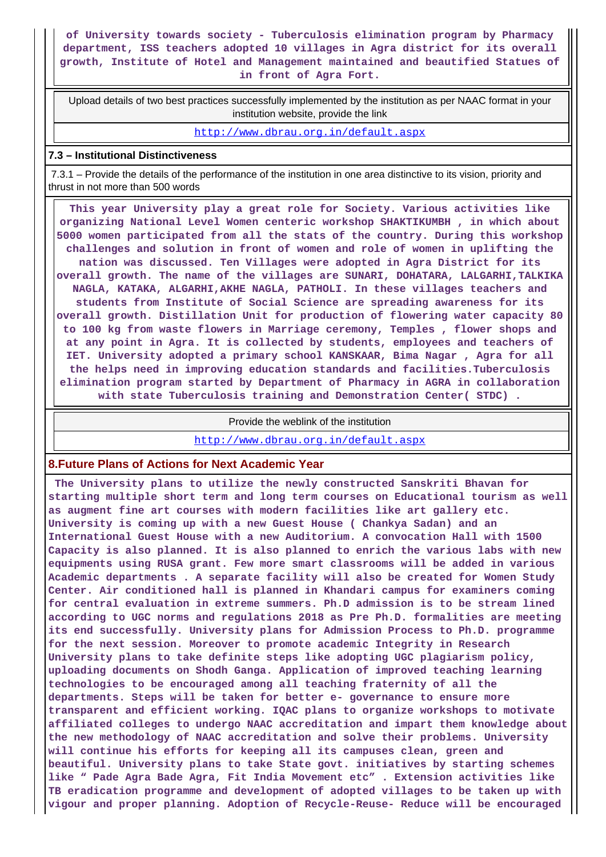#### **of University towards society - Tuberculosis elimination program by Pharmacy department, ISS teachers adopted 10 villages in Agra district for its overall growth, Institute of Hotel and Management maintained and beautified Statues of in front of Agra Fort.**

 Upload details of two best practices successfully implemented by the institution as per NAAC format in your institution website, provide the link

<http://www.dbrau.org.in/default.aspx>

#### **7.3 – Institutional Distinctiveness**

 7.3.1 – Provide the details of the performance of the institution in one area distinctive to its vision, priority and thrust in not more than 500 words

 **This year University play a great role for Society. Various activities like organizing National Level Women centeric workshop SHAKTIKUMBH , in which about 5000 women participated from all the stats of the country. During this workshop challenges and solution in front of women and role of women in uplifting the nation was discussed. Ten Villages were adopted in Agra District for its overall growth. The name of the villages are SUNARI, DOHATARA, LALGARHI,TALKIKA NAGLA, KATAKA, ALGARHI,AKHE NAGLA, PATHOLI. In these villages teachers and students from Institute of Social Science are spreading awareness for its overall growth. Distillation Unit for production of flowering water capacity 80 to 100 kg from waste flowers in Marriage ceremony, Temples , flower shops and at any point in Agra. It is collected by students, employees and teachers of IET. University adopted a primary school KANSKAAR, Bima Nagar , Agra for all the helps need in improving education standards and facilities.Tuberculosis elimination program started by Department of Pharmacy in AGRA in collaboration with state Tuberculosis training and Demonstration Center( STDC) .**

Provide the weblink of the institution

<http://www.dbrau.org.in/default.aspx>

### **8.Future Plans of Actions for Next Academic Year**

 **The University plans to utilize the newly constructed Sanskriti Bhavan for starting multiple short term and long term courses on Educational tourism as well as augment fine art courses with modern facilities like art gallery etc. University is coming up with a new Guest House ( Chankya Sadan) and an International Guest House with a new Auditorium. A convocation Hall with 1500 Capacity is also planned. It is also planned to enrich the various labs with new equipments using RUSA grant. Few more smart classrooms will be added in various Academic departments . A separate facility will also be created for Women Study Center. Air conditioned hall is planned in Khandari campus for examiners coming for central evaluation in extreme summers. Ph.D admission is to be stream lined according to UGC norms and regulations 2018 as Pre Ph.D. formalities are meeting its end successfully. University plans for Admission Process to Ph.D. programme for the next session. Moreover to promote academic Integrity in Research University plans to take definite steps like adopting UGC plagiarism policy, uploading documents on Shodh Ganga. Application of improved teaching learning technologies to be encouraged among all teaching fraternity of all the departments. Steps will be taken for better e- governance to ensure more transparent and efficient working. IQAC plans to organize workshops to motivate affiliated colleges to undergo NAAC accreditation and impart them knowledge about the new methodology of NAAC accreditation and solve their problems. University will continue his efforts for keeping all its campuses clean, green and beautiful. University plans to take State govt. initiatives by starting schemes like " Pade Agra Bade Agra, Fit India Movement etc" . Extension activities like TB eradication programme and development of adopted villages to be taken up with vigour and proper planning. Adoption of Recycle-Reuse- Reduce will be encouraged**